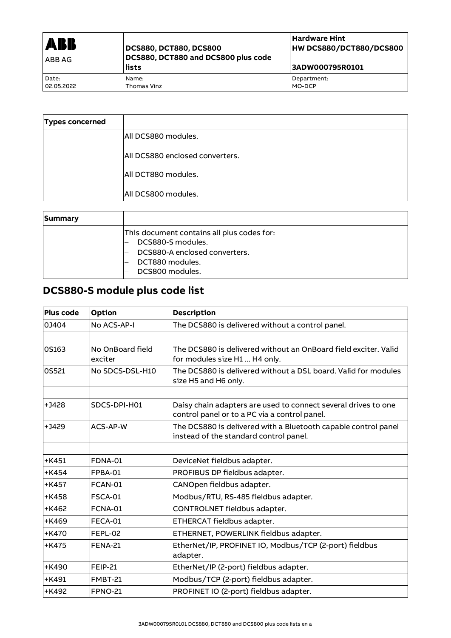| <b>ABB</b><br><b>ABBAG</b> | <b>DCS880, DCT880, DCS800</b><br>DCS880, DCT880 and DCS800 plus code<br>lists | l Hardware Hint<br><b>HW DCS880/DCT880/DCS800</b><br>3ADW000795R0101 |
|----------------------------|-------------------------------------------------------------------------------|----------------------------------------------------------------------|
| Date:                      | Name:                                                                         | Department:                                                          |
| 02.05.2022                 | Thomas Vinz                                                                   | MO-DCP                                                               |

| <b>Types concerned</b> |                                        |
|------------------------|----------------------------------------|
|                        | lAll DCS880 modules.                   |
|                        | <b>All DCS880 enclosed converters.</b> |
|                        | All DCT880 modules.                    |
|                        | All DCS800 modules.                    |

| <b>Summary</b> |                                                                                                                                        |
|----------------|----------------------------------------------------------------------------------------------------------------------------------------|
|                | This document contains all plus codes for:<br>DCS880-S modules.<br>DCS880-A enclosed converters.<br>DCT880 modules.<br>DCS800 modules. |

# **DCS880-S module plus code list**

| Plus code | <b>Option</b>               | <b>Description</b>                                                                                              |
|-----------|-----------------------------|-----------------------------------------------------------------------------------------------------------------|
| 03404     | No ACS-AP-I                 | The DCS880 is delivered without a control panel.                                                                |
|           |                             |                                                                                                                 |
| 0S163     | No OnBoard field<br>exciter | The DCS880 is delivered without an OnBoard field exciter. Valid<br>for modules size H1  H4 only.                |
| OS521     | No SDCS-DSL-H10             | The DCS880 is delivered without a DSL board. Valid for modules<br>size H5 and H6 only.                          |
| $+1428$   | SDCS-DPI-H01                | Daisy chain adapters are used to connect several drives to one<br>control panel or to a PC via a control panel. |
| $+1429$   | ACS-AP-W                    | The DCS880 is delivered with a Bluetooth capable control panel<br>instead of the standard control panel.        |
|           |                             |                                                                                                                 |
| $+K451$   | <b>FDNA-01</b>              | DeviceNet fieldbus adapter.                                                                                     |
| $+K454$   | FPBA-01                     | PROFIBUS DP fieldbus adapter.                                                                                   |
| $+K457$   | FCAN-01                     | CANOpen fieldbus adapter.                                                                                       |
| $+K458$   | <b>FSCA-01</b>              | Modbus/RTU, RS-485 fieldbus adapter.                                                                            |
| $+K462$   | FCNA-01                     | CONTROLNET fieldbus adapter.                                                                                    |
| $+$ K469  | FECA-01                     | ETHERCAT fieldbus adapter.                                                                                      |
| $+$ K470  | FEPL-02                     | ETHERNET, POWERLINK fieldbus adapter.                                                                           |
| $+K475$   | <b>FENA-21</b>              | EtherNet/IP, PROFINET IO, Modbus/TCP (2-port) fieldbus<br>adapter.                                              |
| $+$ K490  | <b>FEIP-21</b>              | EtherNet/IP (2-port) fieldbus adapter.                                                                          |
| $+$ K491  | FMBT-21                     | Modbus/TCP (2-port) fieldbus adapter.                                                                           |
| $+K492$   | <b>FPNO-21</b>              | PROFINET IO (2-port) fieldbus adapter.                                                                          |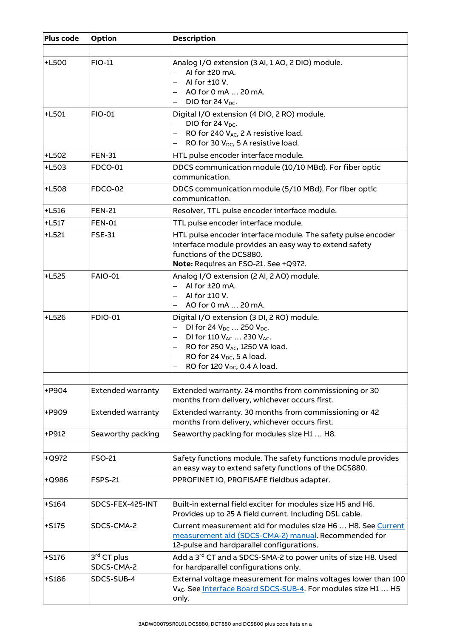| Plus code    | <b>Option</b>                         | <b>Description</b>                                                                                                                                                                                                                                        |
|--------------|---------------------------------------|-----------------------------------------------------------------------------------------------------------------------------------------------------------------------------------------------------------------------------------------------------------|
| <b>+L500</b> | <b>FIO-11</b>                         | Analog I/O extension (3 AI, 1 AO, 2 DIO) module.<br>Al for ±20 mA.<br>AI for ±10 V.<br>AO for 0 mA  20 mA.<br>DIO for 24 V <sub>DC</sub> .                                                                                                                |
| $+L501$      | <b>FIO-01</b>                         | Digital I/O extension (4 DIO, 2 RO) module.<br>DIO for 24 $V_{DC}$ .<br>÷,<br>RO for 240 VAC, 2 A resistive load.<br>RO for 30 V <sub>DC</sub> , 5 A resistive load.                                                                                      |
| <b>+L502</b> | <b>FEN-31</b>                         | HTL pulse encoder interface module.                                                                                                                                                                                                                       |
| $+L503$      | FDCO-01                               | DDCS communication module (10/10 MBd). For fiber optic<br>communication.                                                                                                                                                                                  |
| <b>+L508</b> | <b>FDCO-02</b>                        | DDCS communication module (5/10 MBd). For fiber optic<br>communication.                                                                                                                                                                                   |
| $+L516$      | <b>FEN-21</b>                         | Resolver, TTL pulse encoder interface module.                                                                                                                                                                                                             |
| $+L517$      | <b>FEN-01</b>                         | TTL pulse encoder interface module.                                                                                                                                                                                                                       |
| $+L521$      | <b>FSE-31</b>                         | HTL pulse encoder interface module. The safety pulse encoder<br>interface module provides an easy way to extend safety<br>functions of the DCS880.<br>Note: Requires an FSO-21. See +Q972.                                                                |
| $+L525$      | <b>FAIO-01</b>                        | Analog I/O extension (2 AI, 2 AO) module.<br>AI for ±20 mA.<br>AI for ±10 V.<br>$\overline{\phantom{0}}$<br>AO for 0 mA  20 mA.                                                                                                                           |
| $+L526$      | <b>FDIO-01</b>                        | Digital I/O extension (3 DI, 2 RO) module.<br>DI for 24 $V_{DC}$ 250 $V_{DC}$ .<br>DI for 110 V <sub>AC</sub> 230 V <sub>AC</sub> .<br>RO for 250 VAC, 1250 VA load.<br>RO for 24 V <sub>DC</sub> , 5 A load.<br>RO for 120 V <sub>DC</sub> , 0.4 A load. |
| +P904        | <b>Extended warranty</b>              | Extended warranty. 24 months from commissioning or 30<br>months from delivery, whichever occurs first.                                                                                                                                                    |
| +P909        | <b>Extended warranty</b>              | Extended warranty. 30 months from commissioning or 42<br>months from delivery, whichever occurs first.                                                                                                                                                    |
| +P912        | Seaworthy packing                     | Seaworthy packing for modules size H1  H8.                                                                                                                                                                                                                |
|              |                                       |                                                                                                                                                                                                                                                           |
| +Q972        | <b>FSO-21</b>                         | Safety functions module. The safety functions module provides<br>an easy way to extend safety functions of the DCS880.                                                                                                                                    |
| +Q986        | <b>FSPS-21</b>                        | PPROFINET IO, PROFISAFE fieldbus adapter.                                                                                                                                                                                                                 |
|              |                                       |                                                                                                                                                                                                                                                           |
| $+$ S164     | SDCS-FEX-425-INT                      | Built-in external field exciter for modules size H5 and H6.<br>Provides up to 25 A field current. Including DSL cable.                                                                                                                                    |
| $+5175$      | SDCS-CMA-2                            | Current measurement aid for modules size H6  H8. See Current<br>measurement aid (SDCS-CMA-2) manual. Recommended for<br>12-pulse and hardparallel configurations.                                                                                         |
| $+5176$      | 3 <sup>rd</sup> CT plus<br>SDCS-CMA-2 | Add a 3 <sup>rd</sup> CT and a SDCS-SMA-2 to power units of size H8. Used<br>for hardparallel configurations only.                                                                                                                                        |
| $+5186$      | SDCS-SUB-4                            | External voltage measurement for mains voltages lower than 100<br>VAC. See Interface Board SDCS-SUB-4. For modules size H1  H5<br>only.                                                                                                                   |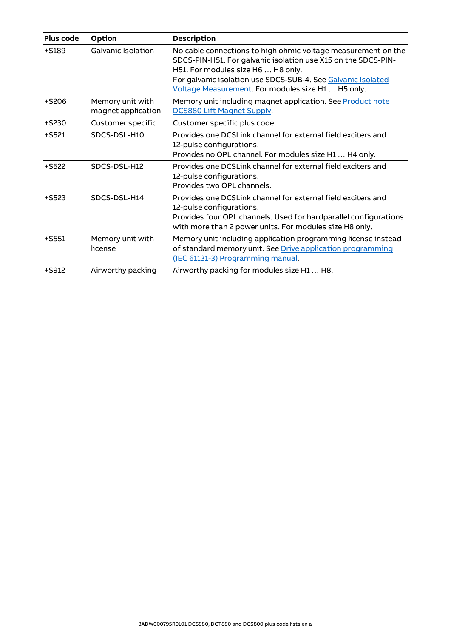| Plus code | <b>Option</b>                          | <b>Description</b>                                                                                                                                                                                                                                                                         |
|-----------|----------------------------------------|--------------------------------------------------------------------------------------------------------------------------------------------------------------------------------------------------------------------------------------------------------------------------------------------|
| $+5189$   | <b>Galvanic Isolation</b>              | No cable connections to high ohmic voltage measurement on the<br>SDCS-PIN-H51. For galvanic isolation use X15 on the SDCS-PIN-<br>H51. For modules size H6  H8 only.<br>For galvanic isolation use SDCS-SUB-4. See Galvanic Isolated<br>Voltage Measurement. For modules size H1  H5 only. |
| $+5206$   | Memory unit with<br>magnet application | Memory unit including magnet application. See Product note<br>DCS880 Lift Magnet Supply.                                                                                                                                                                                                   |
| $+$ S230  | Customer specific                      | Customer specific plus code.                                                                                                                                                                                                                                                               |
| $+5521$   | SDCS-DSL-H10                           | Provides one DCSLink channel for external field exciters and<br>12-pulse configurations.<br>Provides no OPL channel. For modules size H1  H4 only.                                                                                                                                         |
| $+$ S522  | SDCS-DSL-H12                           | Provides one DCSLink channel for external field exciters and<br>12-pulse configurations.<br>Provides two OPL channels.                                                                                                                                                                     |
| $+$ S523  | SDCS-DSL-H14                           | Provides one DCSLink channel for external field exciters and<br>12-pulse configurations.<br>Provides four OPL channels. Used for hardparallel configurations<br>with more than 2 power units. For modules size H8 only.                                                                    |
| $+$ S551  | Memory unit with<br>license            | Memory unit including application programming license instead<br>of standard memory unit. See Drive application programming<br>(IEC 61131-3) Programming manual.                                                                                                                           |
| $+$ S912  | Airworthy packing                      | Airworthy packing for modules size H1  H8.                                                                                                                                                                                                                                                 |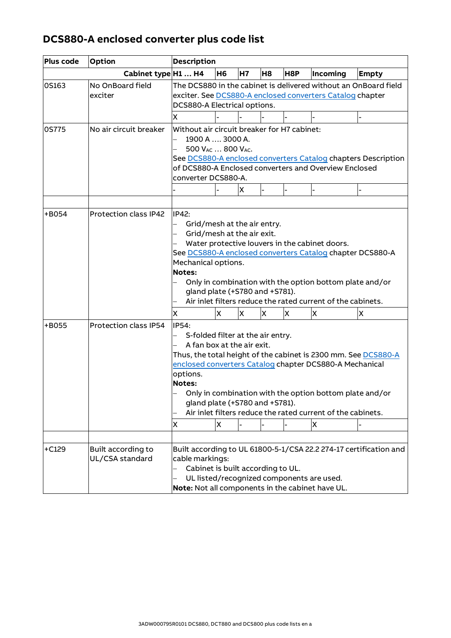## **DCS880-A enclosed converter plus code list**

| Plus code    | <b>Option</b>                         | <b>Description</b>                                                                                                                                                                                                                                                                                                                                                                                            |                                                                                                                                                                                                                            |    |                    |                  |          |              |  |  |
|--------------|---------------------------------------|---------------------------------------------------------------------------------------------------------------------------------------------------------------------------------------------------------------------------------------------------------------------------------------------------------------------------------------------------------------------------------------------------------------|----------------------------------------------------------------------------------------------------------------------------------------------------------------------------------------------------------------------------|----|--------------------|------------------|----------|--------------|--|--|
|              | Cabinet type H1  H4                   |                                                                                                                                                                                                                                                                                                                                                                                                               | H <sub>6</sub>                                                                                                                                                                                                             | H7 | H <sub>8</sub>     | H <sub>8</sub> P | Incoming | <b>Empty</b> |  |  |
| OS163        | No OnBoard field<br>exciter           | x                                                                                                                                                                                                                                                                                                                                                                                                             | The DCS880 in the cabinet is delivered without an OnBoard field<br>exciter. See DCS880-A enclosed converters Catalog chapter<br>DCS880-A Electrical options.                                                               |    |                    |                  |          |              |  |  |
| <b>0S775</b> | No air circuit breaker                | Without air circuit breaker for H7 cabinet:<br>1900 A  3000 A.<br>500 V <sub>AC</sub> 800 V <sub>AC</sub> .<br>See DCS880-A enclosed converters Catalog chapters Description<br>of DCS880-A Enclosed converters and Overview Enclosed<br>converter DCS880-A.<br>X                                                                                                                                             |                                                                                                                                                                                                                            |    |                    |                  |          |              |  |  |
| +B054        | Protection class IP42                 | IP42:<br>Grid/mesh at the air entry.<br>Grid/mesh at the air exit.<br>Water protective louvers in the cabinet doors.<br>See DCS880-A enclosed converters Catalog chapter DCS880-A<br>Mechanical options.<br><b>Notes:</b><br>Only in combination with the option bottom plate and/or<br>gland plate (+S780 and +S781).<br>Air inlet filters reduce the rated current of the cabinets.                         |                                                                                                                                                                                                                            |    |                    |                  |          |              |  |  |
|              |                                       | X                                                                                                                                                                                                                                                                                                                                                                                                             | X                                                                                                                                                                                                                          | X  | ΙX.<br>X<br>X<br>X |                  |          |              |  |  |
| +B055        | Protection class IP54                 | IP54:<br>S-folded filter at the air entry.<br>A fan box at the air exit.<br>Thus, the total height of the cabinet is 2300 mm. See DCS880-A<br>enclosed converters Catalog chapter DCS880-A Mechanical<br>options.<br><b>Notes:</b><br>Only in combination with the option bottom plate and/or<br>gland plate (+S780 and +S781).<br>Air inlet filters reduce the rated current of the cabinets.<br>X<br>X<br>X |                                                                                                                                                                                                                            |    |                    |                  |          |              |  |  |
| $+C129$      | Built according to<br>UL/CSA standard |                                                                                                                                                                                                                                                                                                                                                                                                               | Built according to UL 61800-5-1/CSA 22.2 274-17 certification and<br>cable markings:<br>Cabinet is built according to UL.<br>UL listed/recognized components are used.<br>Note: Not all components in the cabinet have UL. |    |                    |                  |          |              |  |  |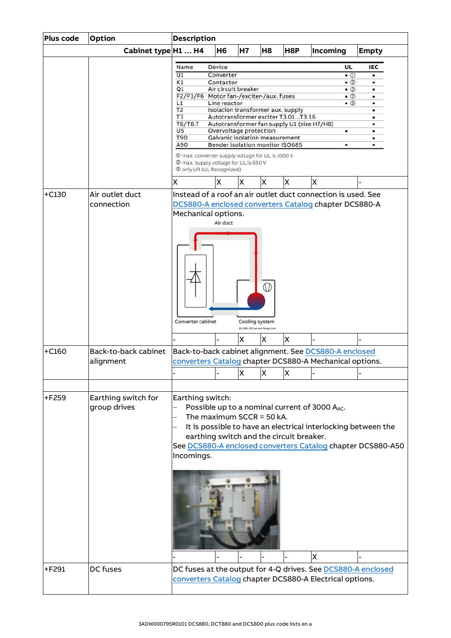| Plus code | Option                              | <b>Description</b>                                                                                                                                                                                                                                                                                                                                                                                                                                                                                                                                                                                                                                                                                                                        |  |
|-----------|-------------------------------------|-------------------------------------------------------------------------------------------------------------------------------------------------------------------------------------------------------------------------------------------------------------------------------------------------------------------------------------------------------------------------------------------------------------------------------------------------------------------------------------------------------------------------------------------------------------------------------------------------------------------------------------------------------------------------------------------------------------------------------------------|--|
|           | Cabinet type H1  H4                 | <b>H6</b><br><b>H7</b><br>H <sub>8</sub><br>H8P<br>Incoming<br><b>Empty</b>                                                                                                                                                                                                                                                                                                                                                                                                                                                                                                                                                                                                                                                               |  |
|           |                                     | <b>Device</b><br>IEC<br>UL<br>Name<br>$\overline{U1}$<br>Converter<br>$\bullet$ ①<br>$\bullet$<br>K1<br>Contactor<br>- ②<br>٠<br>Air circuit breaker<br>Q1<br>• ②<br>F2/F3/F6 Motor fan-/exciter-/aux. fuses<br>- ②<br>۰<br>L1<br>• ③<br>Line reactor<br>T <sub>2</sub><br>Isolation transformer aux. supply<br>٠<br>T <sub>3</sub><br>Autotransformer exciter T3.01T3.16<br>T8/T8.7<br>Autotransformer fan supply U1 (size H7/H8)<br>U <sub>5</sub><br>Overvoltage protection<br>۰<br><b>T90</b><br><b>Galvanic isolation measurement</b><br>٠<br>A90<br><b>Bender isolation monitor ISO685</b><br>٠<br>٠<br>1000 W max. converter supply voltage for UL is 1000 V<br>2 max. supply voltage for UL is 690 V<br>3 only UR (UL Recognized) |  |
|           |                                     | X<br>X<br>X<br>X<br>X<br>X                                                                                                                                                                                                                                                                                                                                                                                                                                                                                                                                                                                                                                                                                                                |  |
| $+C130$   | Air outlet duct<br>connection       | Instead of a roof an air outlet duct connection is used. See<br>DCS880-A enclosed converters Catalog chapter DCS880-A<br>Mechanical options.<br>Air duct<br>⋒<br><b>Converter cabinet</b><br>Cooling system<br>GG_880_007_air exit flange_b.ai                                                                                                                                                                                                                                                                                                                                                                                                                                                                                            |  |
|           |                                     | X<br>X<br>X                                                                                                                                                                                                                                                                                                                                                                                                                                                                                                                                                                                                                                                                                                                               |  |
| $+C160$   | Back-to-back cabinet<br>alignment   | Back-to-back cabinet alignment. See DCS880-A enclosed<br>converters Catalog chapter DCS880-A Mechanical options.<br>X<br><b>X</b><br>ΙX                                                                                                                                                                                                                                                                                                                                                                                                                                                                                                                                                                                                   |  |
| +F259     | Earthing switch for<br>group drives | Earthing switch:<br>Possible up to a nominal current of 3000 A <sub>AC</sub> .<br>The maximum $SCCR = 50 kA$ .<br>It is possible to have an electrical interlocking between the<br>earthing switch and the circuit breaker.<br>See DCS880-A enclosed converters Catalog chapter DCS880-A50<br>Incomings.<br>X                                                                                                                                                                                                                                                                                                                                                                                                                             |  |
| +F291     | DC fuses                            | DC fuses at the output for 4-Q drives. See DCS880-A enclosed                                                                                                                                                                                                                                                                                                                                                                                                                                                                                                                                                                                                                                                                              |  |
|           |                                     | converters Catalog chapter DCS880-A Electrical options.                                                                                                                                                                                                                                                                                                                                                                                                                                                                                                                                                                                                                                                                                   |  |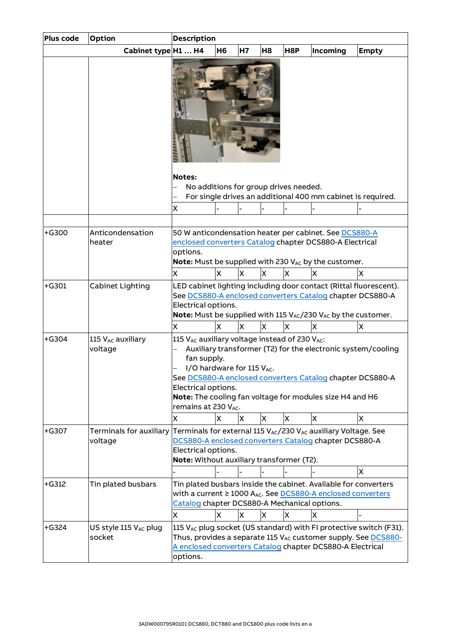| Plus code | <b>Option</b>                               | <b>Description</b>                                                                                                                                                                                                                                                                                                                                        |    |           |    |                                       |                                                                                                                                                                                                                         |                                                                                                                                                       |
|-----------|---------------------------------------------|-----------------------------------------------------------------------------------------------------------------------------------------------------------------------------------------------------------------------------------------------------------------------------------------------------------------------------------------------------------|----|-----------|----|---------------------------------------|-------------------------------------------------------------------------------------------------------------------------------------------------------------------------------------------------------------------------|-------------------------------------------------------------------------------------------------------------------------------------------------------|
|           | Cabinet type H1  H4                         |                                                                                                                                                                                                                                                                                                                                                           | H6 | <b>H7</b> | H8 | H8P                                   | Incoming                                                                                                                                                                                                                | <b>Empty</b>                                                                                                                                          |
|           |                                             | <b>Notes:</b>                                                                                                                                                                                                                                                                                                                                             |    |           |    |                                       |                                                                                                                                                                                                                         |                                                                                                                                                       |
|           |                                             |                                                                                                                                                                                                                                                                                                                                                           |    |           |    | No additions for group drives needed. |                                                                                                                                                                                                                         |                                                                                                                                                       |
|           |                                             |                                                                                                                                                                                                                                                                                                                                                           |    |           |    |                                       | For single drives an additional 400 mm cabinet is required.                                                                                                                                                             |                                                                                                                                                       |
|           |                                             | X                                                                                                                                                                                                                                                                                                                                                         |    |           |    |                                       |                                                                                                                                                                                                                         |                                                                                                                                                       |
|           |                                             |                                                                                                                                                                                                                                                                                                                                                           |    |           |    |                                       |                                                                                                                                                                                                                         |                                                                                                                                                       |
| $+G300$   | Anticondensation<br>heater                  | options.                                                                                                                                                                                                                                                                                                                                                  |    |           |    |                                       | 50 W anticondensation heater per cabinet. See DCS880-A<br>enclosed converters Catalog chapter DCS880-A Electrical<br>Note: Must be supplied with 230 V <sub>AC</sub> by the customer.                                   |                                                                                                                                                       |
|           |                                             | x                                                                                                                                                                                                                                                                                                                                                         | x  | <b>X</b>  | X  | x                                     | ΙX                                                                                                                                                                                                                      | x                                                                                                                                                     |
| $+G301$   | Cabinet Lighting                            | Electrical options.                                                                                                                                                                                                                                                                                                                                       |    |           |    |                                       | LED cabinet lighting including door contact (Rittal fluorescent).<br>See DCS880-A enclosed converters Catalog chapter DCS880-A<br>Note: Must be supplied with 115 V <sub>AC</sub> /230 V <sub>AC</sub> by the customer. |                                                                                                                                                       |
|           |                                             | x                                                                                                                                                                                                                                                                                                                                                         | X  | X         | X  | X                                     | X                                                                                                                                                                                                                       | X                                                                                                                                                     |
| $+G304$   | 115 V <sub>AC</sub> auxiliary<br>voltage    | 115 V <sub>AC</sub> auxiliary voltage instead of 230 V <sub>AC</sub> :<br>Auxiliary transformer (T2) for the electronic system/cooling<br>fan supply.<br>I/O hardware for 115 VAC.<br>See DCS880-A enclosed converters Catalog chapter DCS880-A<br>Electrical options.<br>Note: The cooling fan voltage for modules size H4 and H6<br>remains at 230 VAC. |    |           |    |                                       |                                                                                                                                                                                                                         | X                                                                                                                                                     |
| $+G307$   | Terminals for auxiliary                     | X                                                                                                                                                                                                                                                                                                                                                         | X  | X         | X  | X.                                    | X                                                                                                                                                                                                                       |                                                                                                                                                       |
|           | voltage                                     | Terminals for external 115 VAC/230 VAC auxiliary Voltage. See<br>DCS880-A enclosed converters Catalog chapter DCS880-A<br>Electrical options.<br>Note: Without auxiliary transformer (T2).<br>X                                                                                                                                                           |    |           |    |                                       |                                                                                                                                                                                                                         |                                                                                                                                                       |
| $+G312$   | Tin plated busbars                          | Tin plated busbars inside the cabinet. Available for converters<br>with a current ≥ 1000 A <sub>Ac</sub> . See DCS880-A enclosed converters<br>Catalog chapter DCS880-A Mechanical options.<br>x<br>X<br>X<br>X<br>X<br>X                                                                                                                                 |    |           |    |                                       |                                                                                                                                                                                                                         |                                                                                                                                                       |
| $+G324$   | US style 115 V <sub>AC</sub> plug<br>socket | options.                                                                                                                                                                                                                                                                                                                                                  |    |           |    |                                       | A enclosed converters Catalog chapter DCS880-A Electrical                                                                                                                                                               | 115 $V_{AC}$ plug socket (US standard) with FI protective switch (F31).<br>Thus, provides a separate 115 V <sub>AC</sub> customer supply. See DCS880- |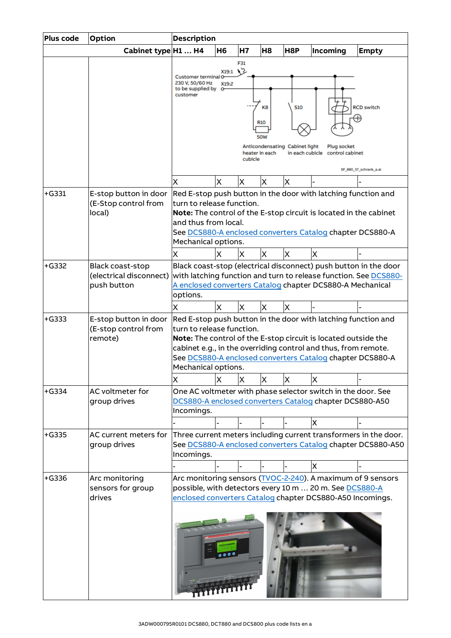| <b>Plus code</b> | Option                  | <b>Description</b>                                              |                |          |                |            |                                                                   |                                                                  |
|------------------|-------------------------|-----------------------------------------------------------------|----------------|----------|----------------|------------|-------------------------------------------------------------------|------------------------------------------------------------------|
|                  | Cabinet type H1  H4     |                                                                 | H <sub>6</sub> | H7       | H <sub>8</sub> | H8P        | Incoming                                                          | <b>Empty</b>                                                     |
|                  |                         |                                                                 |                | F31      |                |            |                                                                   |                                                                  |
|                  |                         | Customer terminal O                                             | X19:1          | 75       |                |            |                                                                   |                                                                  |
|                  |                         | 230 V, 50/60 Hz<br>X19:2<br>to be supplied by<br>ᠳ<br>customer  |                |          |                |            |                                                                   |                                                                  |
|                  |                         |                                                                 |                |          |                |            |                                                                   |                                                                  |
|                  |                         |                                                                 |                |          | K8             | <b>S10</b> |                                                                   | <b>RCD switch</b>                                                |
|                  |                         |                                                                 |                |          |                |            |                                                                   | H)                                                               |
|                  |                         |                                                                 |                |          | <b>R10</b>     |            |                                                                   |                                                                  |
|                  |                         | 50W                                                             |                |          |                |            |                                                                   |                                                                  |
|                  |                         | Anticondensating Cabinet light<br>Plug socket                   |                |          |                |            |                                                                   |                                                                  |
|                  |                         | heater in each<br>in each cubicle<br>control cabinet<br>cubicle |                |          |                |            |                                                                   |                                                                  |
|                  |                         | SF_880_57_schrank_a.ai                                          |                |          |                |            |                                                                   |                                                                  |
|                  |                         | X                                                               | X              | X        | X              | Χ          |                                                                   |                                                                  |
| $+G331$          | E-stop button in door   |                                                                 |                |          |                |            | Red E-stop push button in the door with latching function and     |                                                                  |
|                  | (E-Stop control from    | turn to release function.                                       |                |          |                |            |                                                                   |                                                                  |
|                  | local)                  |                                                                 |                |          |                |            | Note: The control of the E-stop circuit is located in the cabinet |                                                                  |
|                  |                         | and thus from local.                                            |                |          |                |            |                                                                   |                                                                  |
|                  |                         |                                                                 |                |          |                |            | See DCS880-A enclosed converters Catalog chapter DCS880-A         |                                                                  |
|                  |                         | Mechanical options.                                             |                |          |                |            |                                                                   |                                                                  |
|                  |                         | X                                                               | x              | X        | X              | X          | X                                                                 |                                                                  |
| $+G332$          | <b>Black coast-stop</b> |                                                                 |                |          |                |            | Black coast-stop (electrical disconnect) push button in the door  |                                                                  |
|                  | (electrical disconnect) |                                                                 |                |          |                |            |                                                                   | with latching function and turn to release function. See DCS880- |
|                  | push button             |                                                                 |                |          |                |            | A enclosed converters Catalog chapter DCS880-A Mechanical         |                                                                  |
|                  |                         | options.                                                        |                |          |                |            |                                                                   |                                                                  |
|                  |                         | X                                                               | $\times$       | $\times$ | X              | X          |                                                                   |                                                                  |
| $+G333$          | E-stop button in door   |                                                                 |                |          |                |            | Red E-stop push button in the door with latching function and     |                                                                  |
|                  | (E-stop control from    | turn to release function.                                       |                |          |                |            |                                                                   |                                                                  |
|                  | remote)                 | Note: The control of the E-stop circuit is located outside the  |                |          |                |            |                                                                   |                                                                  |
|                  |                         |                                                                 |                |          |                |            | cabinet e.g., in the overriding control and thus, from remote.    |                                                                  |
|                  |                         |                                                                 |                |          |                |            | See DCS880-A enclosed converters Catalog chapter DCS880-A         |                                                                  |
|                  |                         | Mechanical options.                                             |                |          |                |            |                                                                   |                                                                  |
|                  |                         | X                                                               | X              | X        | X              | X          | X                                                                 |                                                                  |
| $+G334$          | AC voltmeter for        |                                                                 |                |          |                |            | One AC voltmeter with phase selector switch in the door. See      |                                                                  |
|                  | group drives            | DCS880-A enclosed converters Catalog chapter DCS880-A50         |                |          |                |            |                                                                   |                                                                  |
|                  |                         | Incomings.                                                      |                |          |                |            |                                                                   |                                                                  |
|                  |                         |                                                                 |                |          |                |            | X                                                                 |                                                                  |
| $+G335$          | AC current meters for   |                                                                 |                |          |                |            |                                                                   | Three current meters including current transformers in the door. |
|                  | group drives            |                                                                 |                |          |                |            |                                                                   | See DCS880-A enclosed converters Catalog chapter DCS880-A50      |
|                  |                         | Incomings.                                                      |                |          |                |            |                                                                   |                                                                  |
|                  |                         |                                                                 |                |          |                |            | X                                                                 |                                                                  |
| $+G336$          | Arc monitoring          |                                                                 |                |          |                |            | Arc monitoring sensors (TVOC-2-240). A maximum of 9 sensors       |                                                                  |
|                  | sensors for group       |                                                                 |                |          |                |            | possible, with detectors every 10 m  20 m. See DCS880-A           |                                                                  |
|                  | drives                  |                                                                 |                |          |                |            | enclosed converters Catalog chapter DCS880-A50 Incomings.         |                                                                  |
|                  |                         |                                                                 |                |          |                |            |                                                                   |                                                                  |
|                  |                         |                                                                 |                |          |                |            |                                                                   |                                                                  |
|                  |                         |                                                                 |                |          |                |            |                                                                   |                                                                  |
|                  |                         |                                                                 |                |          |                |            |                                                                   |                                                                  |
|                  |                         |                                                                 |                |          |                |            |                                                                   |                                                                  |
|                  |                         |                                                                 |                |          |                |            |                                                                   |                                                                  |
|                  |                         |                                                                 |                |          |                |            |                                                                   |                                                                  |
|                  |                         |                                                                 |                |          |                |            |                                                                   |                                                                  |
|                  |                         |                                                                 |                |          |                |            |                                                                   |                                                                  |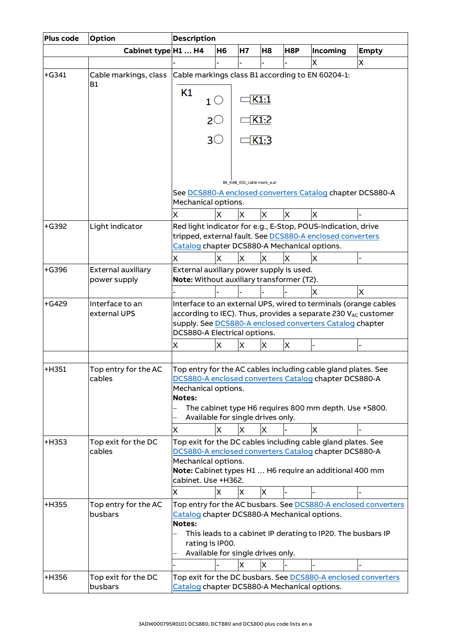| <b>Plus code</b> | Option                | <b>Description</b>                                                                                                        |           |                            |                |     |                                                               |              |  |
|------------------|-----------------------|---------------------------------------------------------------------------------------------------------------------------|-----------|----------------------------|----------------|-----|---------------------------------------------------------------|--------------|--|
|                  | Cabinet type H1  H4   |                                                                                                                           | <b>H6</b> | H7                         | H <sub>8</sub> | H8P | Incoming                                                      | <b>Empty</b> |  |
|                  |                       |                                                                                                                           |           |                            |                |     | Χ                                                             | X.           |  |
| $+G341$          | Cable markings, class | Cable markings class B1 according to EN 60204-1:                                                                          |           |                            |                |     |                                                               |              |  |
|                  | <b>B1</b>             |                                                                                                                           |           |                            |                |     |                                                               |              |  |
|                  |                       | Κ1<br>$1^\circlearrowright$                                                                                               |           |                            | K1:1           |     |                                                               |              |  |
|                  |                       | $2^\circlearrowright$                                                                                                     |           |                            | K1:2           |     |                                                               |              |  |
|                  |                       | $3\circlearrowright$                                                                                                      |           |                            | K1:3           |     |                                                               |              |  |
|                  |                       |                                                                                                                           |           |                            |                |     |                                                               |              |  |
|                  |                       |                                                                                                                           |           |                            |                |     |                                                               |              |  |
|                  |                       |                                                                                                                           |           | BE_KAB_001_cable mark_a.ai |                |     |                                                               |              |  |
|                  |                       | Mechanical options.                                                                                                       |           |                            |                |     | See DCS880-A enclosed converters Catalog chapter DCS880-A     |              |  |
|                  |                       | Χ                                                                                                                         | X         | X.                         | $\mathsf{X}$   | X   | X                                                             |              |  |
| $+G392$          | Light indicator       |                                                                                                                           |           |                            |                |     | Red light indicator for e.g., E-Stop, POUS-Indication, drive  |              |  |
|                  |                       |                                                                                                                           |           |                            |                |     | tripped, external fault. See DCS880-A enclosed converters     |              |  |
|                  |                       | Catalog chapter DCS880-A Mechanical options.                                                                              |           |                            |                |     |                                                               |              |  |
|                  |                       | X                                                                                                                         | X         | X                          | X              | X   | X                                                             |              |  |
| $+G396$          | External auxiliary    | External auxiliary power supply is used.                                                                                  |           |                            |                |     |                                                               |              |  |
|                  | power supply          | Note: Without auxiliary transformer (T2).                                                                                 |           |                            |                |     |                                                               |              |  |
|                  |                       |                                                                                                                           |           |                            |                |     | <b>X</b>                                                      | X            |  |
| $+G429$          | Interface to an       | Interface to an external UPS, wired to terminals (orange cables                                                           |           |                            |                |     |                                                               |              |  |
|                  | external UPS          | according to IEC). Thus, provides a separate 230 VAC customer<br>supply. See DCS880-A enclosed converters Catalog chapter |           |                            |                |     |                                                               |              |  |
|                  |                       | DCS880-A Electrical options.                                                                                              |           |                            |                |     |                                                               |              |  |
|                  |                       | X                                                                                                                         | X         | X                          | X              | X   |                                                               |              |  |
|                  |                       |                                                                                                                           |           |                            |                |     |                                                               |              |  |
| $+H351$          | Top entry for the AC  | Top entry for the AC cables including cable gland plates. See                                                             |           |                            |                |     |                                                               |              |  |
|                  | cables                | DCS880-A enclosed converters Catalog chapter DCS880-A                                                                     |           |                            |                |     |                                                               |              |  |
|                  |                       | Mechanical options.                                                                                                       |           |                            |                |     |                                                               |              |  |
|                  |                       | Notes:<br>The cabinet type H6 requires 800 mm depth. Use +S800.                                                           |           |                            |                |     |                                                               |              |  |
|                  |                       | Available for single drives only.                                                                                         |           |                            |                |     |                                                               |              |  |
|                  |                       | X                                                                                                                         | X         | X                          | x              |     | X                                                             |              |  |
| $+H353$          | Top exit for the DC   |                                                                                                                           |           |                            |                |     |                                                               |              |  |
|                  | cables                | Top exit for the DC cables including cable gland plates. See<br>DCS880-A enclosed converters Catalog chapter DCS880-A     |           |                            |                |     |                                                               |              |  |
|                  |                       | Mechanical options.<br>Note: Cabinet types H1  H6 require an additional 400 mm                                            |           |                            |                |     |                                                               |              |  |
|                  |                       | cabinet. Use +H362.                                                                                                       |           |                            |                |     |                                                               |              |  |
|                  |                       | X                                                                                                                         | X         | X                          | X              |     |                                                               |              |  |
| +H355            | Top entry for the AC  |                                                                                                                           |           |                            |                |     |                                                               |              |  |
|                  | busbars               | Top entry for the AC busbars. See DCS880-A enclosed converters<br>Catalog chapter DCS880-A Mechanical options.<br>Notes:  |           |                            |                |     |                                                               |              |  |
|                  |                       |                                                                                                                           |           |                            |                |     | This leads to a cabinet IP derating to IP20. The busbars IP   |              |  |
|                  |                       | rating is IP00.                                                                                                           |           |                            |                |     |                                                               |              |  |
|                  |                       | Available for single drives only.                                                                                         |           |                            |                |     |                                                               |              |  |
|                  |                       |                                                                                                                           |           | X                          | X              |     |                                                               |              |  |
| +H356            | Top exit for the DC   |                                                                                                                           |           |                            |                |     | Top exit for the DC busbars. See DCS880-A enclosed converters |              |  |
|                  | busbars               | Catalog chapter DCS880-A Mechanical options.                                                                              |           |                            |                |     |                                                               |              |  |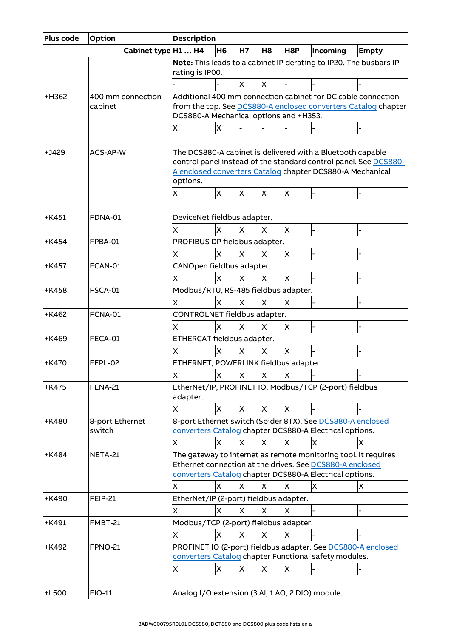| Plus code | <b>Option</b>                | <b>Description</b>                                                                                                                                                                 |           |           |                |          |                                                                                                                                                                                            |                                                                   |
|-----------|------------------------------|------------------------------------------------------------------------------------------------------------------------------------------------------------------------------------|-----------|-----------|----------------|----------|--------------------------------------------------------------------------------------------------------------------------------------------------------------------------------------------|-------------------------------------------------------------------|
|           | Cabinet type H1  H4          |                                                                                                                                                                                    | <b>H6</b> | <b>H7</b> | H <sub>8</sub> | H8P      | Incoming                                                                                                                                                                                   | <b>Empty</b>                                                      |
|           |                              | rating is IP00.                                                                                                                                                                    |           |           |                |          |                                                                                                                                                                                            | Note: This leads to a cabinet IP derating to IP20. The busbars IP |
|           |                              |                                                                                                                                                                                    |           | X         | X              |          |                                                                                                                                                                                            |                                                                   |
| +H362     | 400 mm connection<br>cabinet | Additional 400 mm connection cabinet for DC cable connection<br>from the top. See DCS880-A enclosed converters Catalog chapter<br>DCS880-A Mechanical options and +H353.<br>X<br>X |           |           |                |          |                                                                                                                                                                                            |                                                                   |
|           |                              |                                                                                                                                                                                    |           |           |                |          |                                                                                                                                                                                            |                                                                   |
| +J429     | ACS-AP-W                     | options.<br>Χ                                                                                                                                                                      | X.        | X         | X              | X        | The DCS880-A cabinet is delivered with a Bluetooth capable<br>A enclosed converters Catalog chapter DCS880-A Mechanical                                                                    | control panel instead of the standard control panel. See DCS880-  |
|           |                              |                                                                                                                                                                                    |           |           |                |          |                                                                                                                                                                                            |                                                                   |
| $+K451$   | <b>FDNA-01</b>               | DeviceNet fieldbus adapter.                                                                                                                                                        |           |           |                |          |                                                                                                                                                                                            |                                                                   |
|           |                              | X                                                                                                                                                                                  | X         | X         | X.             | X        |                                                                                                                                                                                            |                                                                   |
| $+$ K454  | FPBA-01                      | PROFIBUS DP fieldbus adapter.                                                                                                                                                      |           |           |                |          |                                                                                                                                                                                            |                                                                   |
|           |                              | X                                                                                                                                                                                  | X         | X         | X              | X.       |                                                                                                                                                                                            |                                                                   |
| $+K457$   | FCAN-01                      | CANOpen fieldbus adapter.                                                                                                                                                          |           |           |                |          |                                                                                                                                                                                            |                                                                   |
|           |                              | X                                                                                                                                                                                  | X         | X         | X              | X        |                                                                                                                                                                                            |                                                                   |
| $+K458$   | <b>FSCA-01</b>               | Modbus/RTU, RS-485 fieldbus adapter.                                                                                                                                               |           |           |                |          |                                                                                                                                                                                            |                                                                   |
|           |                              | X                                                                                                                                                                                  | X         | X         | X              | $\times$ |                                                                                                                                                                                            |                                                                   |
| $+K462$   | FCNA-01                      | CONTROLNET fieldbus adapter.                                                                                                                                                       |           |           |                |          |                                                                                                                                                                                            |                                                                   |
| $+K469$   | FECA-01                      | x<br>ETHERCAT fieldbus adapter.                                                                                                                                                    | X         | X         | X              | X.       |                                                                                                                                                                                            |                                                                   |
|           |                              | X                                                                                                                                                                                  | Χ         | X         | X              | X        |                                                                                                                                                                                            |                                                                   |
| $+$ K470  | FEPL-02                      | ETHERNET, POWERLINK fieldbus adapter.                                                                                                                                              |           |           |                |          |                                                                                                                                                                                            |                                                                   |
|           |                              | Χ                                                                                                                                                                                  | X         | ΙX        | X              | х        |                                                                                                                                                                                            |                                                                   |
| $+K475$   | <b>FENA-21</b>               | adapter.                                                                                                                                                                           |           |           |                |          | EtherNet/IP, PROFINET IO, Modbus/TCP (2-port) fieldbus                                                                                                                                     |                                                                   |
|           |                              | X                                                                                                                                                                                  | X         | X         | X              | X        |                                                                                                                                                                                            |                                                                   |
| +K480     | 8-port Ethernet<br>switch    |                                                                                                                                                                                    |           |           |                |          | 8-port Ethernet switch (Spider 8TX). See DCS880-A enclosed<br>converters Catalog chapter DCS880-A Electrical options.                                                                      |                                                                   |
|           |                              | x                                                                                                                                                                                  | X         | X         | X              | X        | X                                                                                                                                                                                          | X                                                                 |
| $+$ K484  | NETA-21                      | x                                                                                                                                                                                  | x         | IX.       | X              | X        | The gateway to internet as remote monitoring tool. It requires<br>Ethernet connection at the drives. See DCS880-A enclosed<br>converters Catalog chapter DCS880-A Electrical options.<br>X | IX.                                                               |
| $+$ K490  | <b>FEIP-21</b>               | EtherNet/IP (2-port) fieldbus adapter.                                                                                                                                             |           |           |                |          |                                                                                                                                                                                            |                                                                   |
|           |                              | X                                                                                                                                                                                  | X         | $\times$  | X              | X        |                                                                                                                                                                                            |                                                                   |
| +K491     | FMBT-21                      | Modbus/TCP (2-port) fieldbus adapter.                                                                                                                                              |           |           |                |          |                                                                                                                                                                                            |                                                                   |
|           |                              | X                                                                                                                                                                                  | X         | X         | X              | X        |                                                                                                                                                                                            |                                                                   |
| +K492     | <b>FPNO-21</b>               |                                                                                                                                                                                    |           |           |                |          | converters Catalog chapter Functional safety modules.                                                                                                                                      | PROFINET IO (2-port) fieldbus adapter. See DCS880-A enclosed      |
|           |                              | X                                                                                                                                                                                  | X         | X         | X              | X        |                                                                                                                                                                                            |                                                                   |
|           |                              |                                                                                                                                                                                    |           |           |                |          |                                                                                                                                                                                            |                                                                   |
| $+L500$   | FIO-11                       | Analog I/O extension (3 AI, 1 AO, 2 DIO) module.                                                                                                                                   |           |           |                |          |                                                                                                                                                                                            |                                                                   |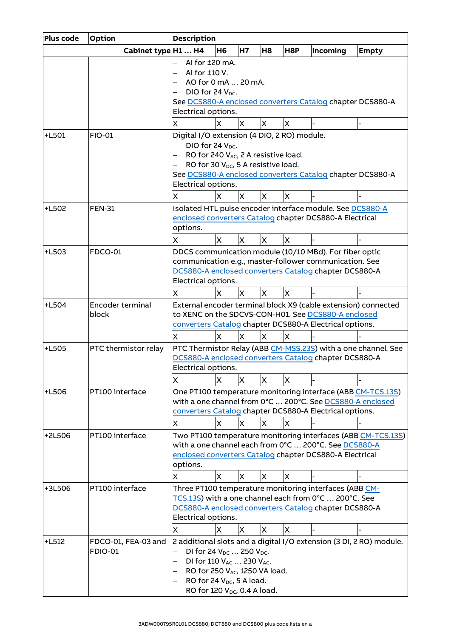| Plus code | Option                                | <b>Description</b>                                                                                                                                                                                                                                                                 |  |  |  |  |  |  |  |  |  |
|-----------|---------------------------------------|------------------------------------------------------------------------------------------------------------------------------------------------------------------------------------------------------------------------------------------------------------------------------------|--|--|--|--|--|--|--|--|--|
|           | Cabinet type H1  H4                   | H8P<br><b>H6</b><br><b>H7</b><br>H <sub>8</sub><br>Incoming<br><b>Empty</b>                                                                                                                                                                                                        |  |  |  |  |  |  |  |  |  |
|           |                                       | Al for ±20 mA.<br>AI for ±10 V.<br>AO for 0 mA  20 mA.<br>DIO for 24 V <sub>DC</sub> .<br>See DCS880-A enclosed converters Catalog chapter DCS880-A<br>Electrical options.                                                                                                         |  |  |  |  |  |  |  |  |  |
|           |                                       | X<br>X<br>X<br>X<br>X                                                                                                                                                                                                                                                              |  |  |  |  |  |  |  |  |  |
| $+L501$   | <b>FIO-01</b>                         | Digital I/O extension (4 DIO, 2 RO) module.<br>DIO for 24 V <sub>DC</sub> .<br>RO for 240 VAC, 2 A resistive load.<br>RO for 30 V <sub>DC</sub> , 5 A resistive load.<br>See DCS880-A enclosed converters Catalog chapter DCS880-A<br>Electrical options.<br>X<br>X<br>X<br>X<br>X |  |  |  |  |  |  |  |  |  |
| +L502     | <b>FEN-31</b>                         | Isolated HTL pulse encoder interface module. See DCS880-A                                                                                                                                                                                                                          |  |  |  |  |  |  |  |  |  |
|           |                                       | enclosed converters Catalog chapter DCS880-A Electrical<br>options.<br>X<br>X<br>X<br>X<br>X                                                                                                                                                                                       |  |  |  |  |  |  |  |  |  |
| $+L503$   | <b>FDCO-01</b>                        | DDCS communication module (10/10 MBd). For fiber optic<br>communication e.g., master-follower communication. See<br>DCS880-A enclosed converters Catalog chapter DCS880-A<br>Electrical options.<br>$\overline{\mathsf{x}}$<br>X<br>X<br>X<br>X                                    |  |  |  |  |  |  |  |  |  |
| $+L504$   | Encoder terminal<br>block             | External encoder terminal block X9 (cable extension) connected<br>to XENC on the SDCVS-CON-H01. See DCS880-A enclosed<br>converters Catalog chapter DCS880-A Electrical options.                                                                                                   |  |  |  |  |  |  |  |  |  |
|           |                                       | X<br>X<br>X.<br>х<br>X                                                                                                                                                                                                                                                             |  |  |  |  |  |  |  |  |  |
| +L505     | PTC thermistor relay                  | PTC Thermistor Relay (ABB CM-MSS.23S) with a one channel. See<br>DCS880-A enclosed converters Catalog chapter DCS880-A<br>Electrical options.<br>$\overline{\mathsf{x}}$<br>X<br>X<br>X<br>X                                                                                       |  |  |  |  |  |  |  |  |  |
| +L506     | PT100 interface                       | One PT100 temperature monitoring interface (ABB CM-TCS.13S)<br>with a one channel from 0°C  200°C. See DCS880-A enclosed<br>converters Catalog chapter DCS880-A Electrical options.<br>X<br>IX.<br>ΙX<br>X.<br>x                                                                   |  |  |  |  |  |  |  |  |  |
| +2L506    | PT100 interface                       | Two PT100 temperature monitoring interfaces (ABB CM-TCS.13S)<br>with a one channel each from 0°C  200°C. See DCS880-A<br>enclosed converters Catalog chapter DCS880-A Electrical<br>options.<br>X.<br>X<br>X<br>X<br>X                                                             |  |  |  |  |  |  |  |  |  |
| +3L506    | PT100 interface                       | Three PT100 temperature monitoring interfaces (ABB CM-<br>TCS.13S) with a one channel each from 0°C  200°C. See<br>DCS880-A enclosed converters Catalog chapter DCS880-A<br>Electrical options.<br>X<br>X<br>X<br>X<br>X                                                           |  |  |  |  |  |  |  |  |  |
| +L512     | FDCO-01, FEA-03 and<br><b>FDIO-01</b> | 2 additional slots and a digital I/O extension (3 DI, 2 RO) module.<br>DI for 24 $V_{DC}$ 250 $V_{DC}$ .<br>DI for 110 VAC  230 VAC.<br>RO for 250 V <sub>AC</sub> , 1250 VA load.<br>RO for 24 $V_{DC}$ , 5 A load.<br>RO for 120 V <sub>DC</sub> , 0.4 A load.                   |  |  |  |  |  |  |  |  |  |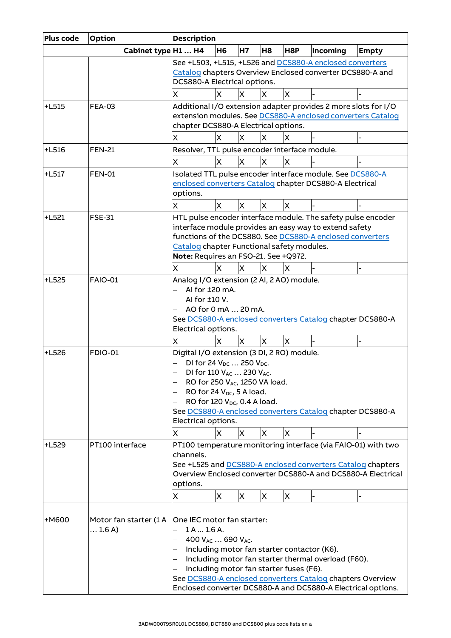| Plus code | <b>Option</b>                            | <b>Description</b>                                                                                                                                                                                                                                                                                                                             |  |  |  |  |  |  |  |
|-----------|------------------------------------------|------------------------------------------------------------------------------------------------------------------------------------------------------------------------------------------------------------------------------------------------------------------------------------------------------------------------------------------------|--|--|--|--|--|--|--|
|           | Cabinet type H1  H4                      | H8P<br>H <sub>6</sub><br><b>H7</b><br>H <sub>8</sub><br>Incoming<br><b>Empty</b>                                                                                                                                                                                                                                                               |  |  |  |  |  |  |  |
|           |                                          | See +L503, +L515, +L526 and DCS880-A enclosed converters<br>Catalog chapters Overview Enclosed converter DCS880-A and<br>DCS880-A Electrical options.                                                                                                                                                                                          |  |  |  |  |  |  |  |
|           |                                          | X<br>X<br>ΙX<br>X<br>х                                                                                                                                                                                                                                                                                                                         |  |  |  |  |  |  |  |
| $+L515$   | <b>FEA-03</b>                            | Additional I/O extension adapter provides 2 more slots for I/O<br>extension modules. See DCS880-A enclosed converters Catalog<br>chapter DCS880-A Electrical options.                                                                                                                                                                          |  |  |  |  |  |  |  |
|           |                                          | X<br>ΙX<br>Χ<br>x<br>x                                                                                                                                                                                                                                                                                                                         |  |  |  |  |  |  |  |
| $+L516$   | <b>FEN-21</b>                            | Resolver, TTL pulse encoder interface module.                                                                                                                                                                                                                                                                                                  |  |  |  |  |  |  |  |
|           |                                          | X<br>X<br>X<br>x<br>x                                                                                                                                                                                                                                                                                                                          |  |  |  |  |  |  |  |
| $+L517$   | <b>FEN-01</b>                            | Isolated TTL pulse encoder interface module. See DCS880-A<br>enclosed converters Catalog chapter DCS880-A Electrical<br>options.                                                                                                                                                                                                               |  |  |  |  |  |  |  |
|           |                                          | X<br>X<br>X<br>X<br>X                                                                                                                                                                                                                                                                                                                          |  |  |  |  |  |  |  |
| $+L521$   | <b>FSE-31</b>                            | HTL pulse encoder interface module. The safety pulse encoder<br>interface module provides an easy way to extend safety<br>functions of the DCS880. See DCS880-A enclosed converters<br>Catalog chapter Functional safety modules.<br>Note: Requires an FSO-21. See +Q972.                                                                      |  |  |  |  |  |  |  |
| $+L525$   | <b>FAIO-01</b>                           | X<br>X<br>X<br>Χ<br>X<br>Analog I/O extension (2 AI, 2 AO) module.                                                                                                                                                                                                                                                                             |  |  |  |  |  |  |  |
|           |                                          | Al for ±20 mA.<br>Al for ±10 V.<br>AO for 0 mA  20 mA.<br>See DCS880-A enclosed converters Catalog chapter DCS880-A<br>Electrical options.<br>X<br>X<br>X<br>Χ<br>X                                                                                                                                                                            |  |  |  |  |  |  |  |
| $+L526$   | <b>FDIO-01</b>                           | Digital I/O extension (3 DI, 2 RO) module.<br>DI for 24 V <sub>DC</sub> 250 V <sub>DC</sub> .<br>DI for 110 VAC  230 VAC.<br>RO for 250 VAC, 1250 VA load.<br>RO for 24 $V_{DC}$ , 5 A load.<br>RO for 120 $V_{DC}$ , 0.4 A load.<br>See DCS880-A enclosed converters Catalog chapter DCS880-A<br>Electrical options.<br>X<br>X<br>х<br>X<br>X |  |  |  |  |  |  |  |
| $+L529$   | PT100 interface                          | PT100 temperature monitoring interface (via FAIO-01) with two<br>channels.<br>See +L525 and DCS880-A enclosed converters Catalog chapters<br>Overview Enclosed converter DCS880-A and DCS880-A Electrical<br>options.<br>X<br>X<br>X<br>X<br>х                                                                                                 |  |  |  |  |  |  |  |
| $+M600$   | Motor fan starter (1 A<br>$\dots$ 1.6 A) | One IEC motor fan starter:<br>1A1.6A.<br>400 VAC  690 VAC.<br>Including motor fan starter contactor (K6).<br>Including motor fan starter thermal overload (F60).<br>Including motor fan starter fuses (F6).<br>See DCS880-A enclosed converters Catalog chapters Overview<br>Enclosed converter DCS880-A and DCS880-A Electrical options.      |  |  |  |  |  |  |  |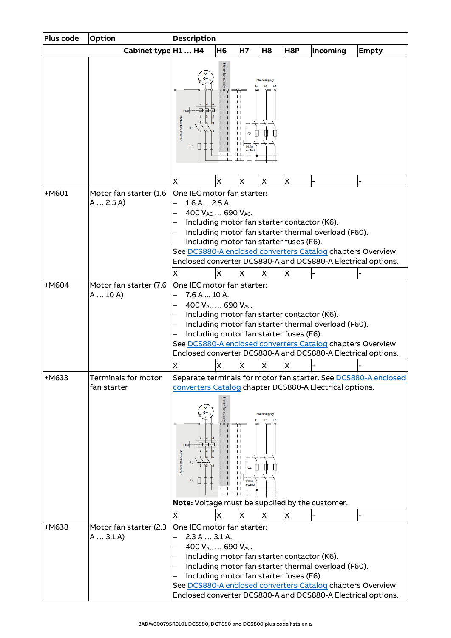| Plus code | Option                              | <b>Description</b>                                                                                                                                                                                                                                                                                                                                                  |                        |                                                    |                          |                  |                                                                                                                                                                                   |                                                                 |  |
|-----------|-------------------------------------|---------------------------------------------------------------------------------------------------------------------------------------------------------------------------------------------------------------------------------------------------------------------------------------------------------------------------------------------------------------------|------------------------|----------------------------------------------------|--------------------------|------------------|-----------------------------------------------------------------------------------------------------------------------------------------------------------------------------------|-----------------------------------------------------------------|--|
|           | Cabinet type H1  H4                 |                                                                                                                                                                                                                                                                                                                                                                     | H <sub>6</sub>         | <b>H7</b>                                          | H <sub>8</sub>           | H <sub>8</sub> P | Incoming                                                                                                                                                                          | <b>Empty</b>                                                    |  |
|           |                                     | <b>Aotor fan starter</b><br>F <sub>6</sub>                                                                                                                                                                                                                                                                                                                          |                        |                                                    |                          |                  |                                                                                                                                                                                   |                                                                 |  |
|           |                                     | Χ                                                                                                                                                                                                                                                                                                                                                                   | X                      | X                                                  | Χ                        | X                |                                                                                                                                                                                   |                                                                 |  |
| $+M601$   | Motor fan starter (1.6<br>A  2.5 A) | One IEC motor fan starter:<br>1.6 A  2.5 A.<br>400 V <sub>AC</sub> 690 V <sub>AC</sub> .<br>Including motor fan starter contactor (K6).<br>Including motor fan starter fuses (F6).                                                                                                                                                                                  |                        |                                                    |                          |                  | Including motor fan starter thermal overload (F60).<br>See DCS880-A enclosed converters Catalog chapters Overview<br>Enclosed converter DCS880-A and DCS880-A Electrical options. |                                                                 |  |
| +M604     | Motor fan starter (7.6              | х                                                                                                                                                                                                                                                                                                                                                                   | X                      | ΙX                                                 | X                        | X                |                                                                                                                                                                                   |                                                                 |  |
|           | A  10 A)                            | One IEC motor fan starter:<br>7.6A10A.<br>400 VAC  690 VAC.<br>Including motor fan starter contactor (K6).<br>Including motor fan starter thermal overload (F60).<br>Including motor fan starter fuses (F6).<br>See DCS880-A enclosed converters Catalog chapters Overview<br>Enclosed converter DCS880-A and DCS880-A Electrical options.<br>X<br>X<br>X<br>Χ<br>Χ |                        |                                                    |                          |                  |                                                                                                                                                                                   |                                                                 |  |
| +M633     | Terminals for motor                 |                                                                                                                                                                                                                                                                                                                                                                     |                        |                                                    |                          |                  |                                                                                                                                                                                   | Separate terminals for motor fan starter. See DCS880-A enclosed |  |
|           | fan starter                         | <b>Aotor fan starter</b><br>F <sub>6</sub><br>Note: Voltage must be supplied by the customer.                                                                                                                                                                                                                                                                       | <u>የ የ የ</u><br>$\Box$ | $\mathsf{L}$<br>O <sub>1</sub><br>switc<br>$\perp$ | Main supply<br>$12 - 13$ |                  | converters Catalog chapter DCS880-A Electrical options.                                                                                                                           |                                                                 |  |
|           |                                     | х                                                                                                                                                                                                                                                                                                                                                                   | X                      | X                                                  | X                        | X                |                                                                                                                                                                                   |                                                                 |  |
| +M638     | Motor fan starter (2.3<br>A  3.1 A) | One IEC motor fan starter:<br>2.3 A  3.1 A.<br>400 $V_{AC}$ 690 $V_{AC}$ .<br>Including motor fan starter contactor (K6).<br>Including motor fan starter fuses (F6).                                                                                                                                                                                                |                        |                                                    |                          |                  | Including motor fan starter thermal overload (F60).<br>See DCS880-A enclosed converters Catalog chapters Overview<br>Enclosed converter DCS880-A and DCS880-A Electrical options. |                                                                 |  |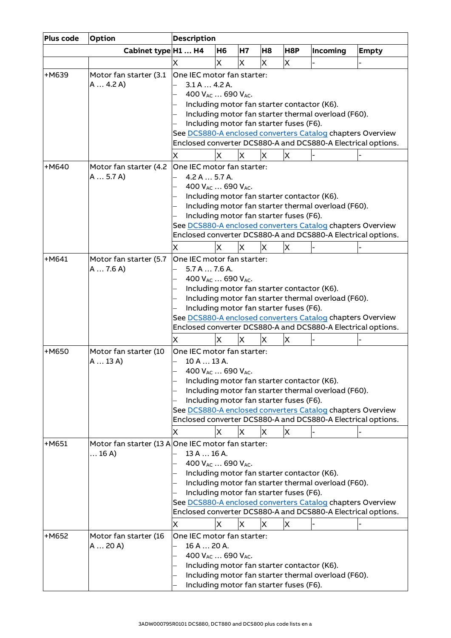| Plus code | Option                                             | <b>Description</b>                                                                                                                                                                                                                                                                                                                                                      |                                           |           |    |                                              |                                                                                                    |                                                                                                                            |  |
|-----------|----------------------------------------------------|-------------------------------------------------------------------------------------------------------------------------------------------------------------------------------------------------------------------------------------------------------------------------------------------------------------------------------------------------------------------------|-------------------------------------------|-----------|----|----------------------------------------------|----------------------------------------------------------------------------------------------------|----------------------------------------------------------------------------------------------------------------------------|--|
|           | Cabinet type H1  H4                                |                                                                                                                                                                                                                                                                                                                                                                         | H6                                        | <b>H7</b> | H8 | H8P                                          | Incoming                                                                                           | <b>Empty</b>                                                                                                               |  |
|           |                                                    | x                                                                                                                                                                                                                                                                                                                                                                       | X                                         | X         | X  | X                                            |                                                                                                    |                                                                                                                            |  |
| +M639     | Motor fan starter (3.1<br>A 4.2 A                  | One IEC motor fan starter:<br>3.1 A 4.2 A.                                                                                                                                                                                                                                                                                                                              | 400 V <sub>AC</sub> 690 V <sub>AC</sub> . |           |    | Including motor fan starter fuses (F6).      | Including motor fan starter contactor (K6).<br>Including motor fan starter thermal overload (F60). | See DCS880-A enclosed converters Catalog chapters Overview<br>Enclosed converter DCS880-A and DCS880-A Electrical options. |  |
| $+M640$   | Motor fan starter (4.2                             | X<br>One IEC motor fan starter:                                                                                                                                                                                                                                                                                                                                         | X                                         | ΙX        | X  | X                                            |                                                                                                    |                                                                                                                            |  |
|           | A 5.7 A                                            | 4.2 A  5.7 A.<br>400 VAC  690 VAC.<br>Including motor fan starter contactor (K6).<br>Including motor fan starter thermal overload (F60).<br>Including motor fan starter fuses (F6).<br>See DCS880-A enclosed converters Catalog chapters Overview<br>Enclosed converter DCS880-A and DCS880-A Electrical options.<br>$\times$<br>X<br>X<br>X<br>X                       |                                           |           |    |                                              |                                                                                                    |                                                                                                                            |  |
| $+M641$   | Motor fan starter (5.7                             |                                                                                                                                                                                                                                                                                                                                                                         |                                           |           |    |                                              |                                                                                                    |                                                                                                                            |  |
|           | A 7.6 A                                            | One IEC motor fan starter:<br>5.7 A  7.6 A.<br>400 V <sub>AC</sub> 690 V <sub>AC</sub> .<br>Including motor fan starter contactor (K6).<br>Including motor fan starter thermal overload (F60).<br>Including motor fan starter fuses (F6).<br>See DCS880-A enclosed converters Catalog chapters Overview<br>Enclosed converter DCS880-A and DCS880-A Electrical options. |                                           |           |    |                                              |                                                                                                    |                                                                                                                            |  |
| +M650     | Motor fan starter (10                              | X<br>One IEC motor fan starter:                                                                                                                                                                                                                                                                                                                                         | х                                         | X         | X  | $\times$                                     |                                                                                                    |                                                                                                                            |  |
|           | A13A)                                              | 10 A  13 A.<br>x                                                                                                                                                                                                                                                                                                                                                        | 400 VAC  690 VAC.<br>X                    | X         | Х  | Including motor fan starter fuses (F6).<br>Х | Including motor fan starter contactor (K6).<br>Including motor fan starter thermal overload (F60). | See DCS880-A enclosed converters Catalog chapters Overview<br>Enclosed converter DCS880-A and DCS880-A Electrical options. |  |
| $+M651$   | Motor fan starter (13 A One IEC motor fan starter: |                                                                                                                                                                                                                                                                                                                                                                         |                                           |           |    |                                              |                                                                                                    |                                                                                                                            |  |
|           | $$ 16 A)                                           | 13 A  16 A.<br>400 V <sub>AC</sub> 690 V <sub>AC</sub> .<br>Including motor fan starter contactor (K6).<br>Including motor fan starter thermal overload (F60).<br>Including motor fan starter fuses (F6).<br>See DCS880-A enclosed converters Catalog chapters Overview<br>Enclosed converter DCS880-A and DCS880-A Electrical options.<br>X<br>ΙX<br>X<br>X<br>х       |                                           |           |    |                                              |                                                                                                    |                                                                                                                            |  |
| +M652     | Motor fan starter (16<br>A 20 A                    | One IEC motor fan starter:<br>16 A  20 A.                                                                                                                                                                                                                                                                                                                               | 400 V <sub>AC</sub> 690 V <sub>AC</sub> . |           |    |                                              | Including motor fan starter contactor (K6).<br>Including motor fan starter thermal overload (F60). |                                                                                                                            |  |
|           |                                                    |                                                                                                                                                                                                                                                                                                                                                                         |                                           |           |    | Including motor fan starter fuses (F6).      |                                                                                                    |                                                                                                                            |  |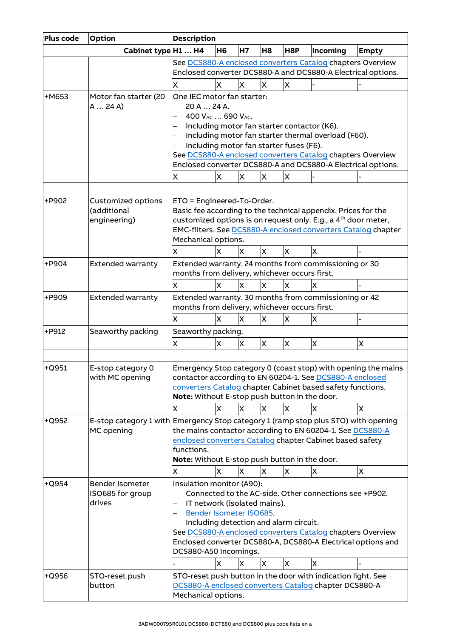| Plus code | Option                                                                                           | <b>Description</b>                                                                                                                                                                                                                                                                                                                                                       |                |           |                |     |                                                                                                                                                                  |                                                                    |  |  |
|-----------|--------------------------------------------------------------------------------------------------|--------------------------------------------------------------------------------------------------------------------------------------------------------------------------------------------------------------------------------------------------------------------------------------------------------------------------------------------------------------------------|----------------|-----------|----------------|-----|------------------------------------------------------------------------------------------------------------------------------------------------------------------|--------------------------------------------------------------------|--|--|
|           | Cabinet type H1  H4                                                                              |                                                                                                                                                                                                                                                                                                                                                                          | H <sub>6</sub> | <b>H7</b> | H <sub>8</sub> | H8P | Incoming                                                                                                                                                         | <b>Empty</b>                                                       |  |  |
|           |                                                                                                  |                                                                                                                                                                                                                                                                                                                                                                          |                |           |                |     | See DCS880-A enclosed converters Catalog chapters Overview                                                                                                       |                                                                    |  |  |
|           |                                                                                                  |                                                                                                                                                                                                                                                                                                                                                                          |                |           |                |     | Enclosed converter DCS880-A and DCS880-A Electrical options.                                                                                                     |                                                                    |  |  |
|           |                                                                                                  | X                                                                                                                                                                                                                                                                                                                                                                        | X              | ΙX        | X              | X   |                                                                                                                                                                  |                                                                    |  |  |
| $+M653$   | Motor fan starter (20<br>A 24 A                                                                  | One IEC motor fan starter:<br>20 A  24 A.<br>400 V <sub>AC</sub> 690 V <sub>AC</sub> .<br>Including motor fan starter fuses (F6).                                                                                                                                                                                                                                        |                |           |                |     | Including motor fan starter contactor (K6).<br>Including motor fan starter thermal overload (F60).<br>See DCS880-A enclosed converters Catalog chapters Overview |                                                                    |  |  |
|           |                                                                                                  |                                                                                                                                                                                                                                                                                                                                                                          |                |           |                |     | Enclosed converter DCS880-A and DCS880-A Electrical options.                                                                                                     |                                                                    |  |  |
|           |                                                                                                  | Χ                                                                                                                                                                                                                                                                                                                                                                        | X              | X         | X              | X   |                                                                                                                                                                  |                                                                    |  |  |
|           |                                                                                                  |                                                                                                                                                                                                                                                                                                                                                                          |                |           |                |     |                                                                                                                                                                  |                                                                    |  |  |
| +P902     | <b>Customized options</b><br>(additional<br>engineering)                                         | ETO = Engineered-To-Order.<br>Basic fee according to the technical appendix. Prices for the<br>customized options is on request only. E.g., a 4 <sup>th</sup> door meter,<br>EMC-filters. See DCS880-A enclosed converters Catalog chapter<br>Mechanical options.<br>X<br>X<br>X<br>X<br>X<br>X                                                                          |                |           |                |     |                                                                                                                                                                  |                                                                    |  |  |
| +P904     | <b>Extended warranty</b>                                                                         |                                                                                                                                                                                                                                                                                                                                                                          |                |           |                |     | Extended warranty. 24 months from commissioning or 30                                                                                                            |                                                                    |  |  |
|           |                                                                                                  | months from delivery, whichever occurs first.                                                                                                                                                                                                                                                                                                                            |                |           |                |     |                                                                                                                                                                  |                                                                    |  |  |
|           |                                                                                                  | X                                                                                                                                                                                                                                                                                                                                                                        | X              | X         | X              | X   | X                                                                                                                                                                |                                                                    |  |  |
| +P909     | <b>Extended warranty</b>                                                                         | Extended warranty. 30 months from commissioning or 42<br>months from delivery, whichever occurs first.<br>X<br>X<br>X                                                                                                                                                                                                                                                    |                |           |                |     |                                                                                                                                                                  |                                                                    |  |  |
|           |                                                                                                  | X                                                                                                                                                                                                                                                                                                                                                                        | lХ             |           |                |     | X                                                                                                                                                                |                                                                    |  |  |
| +P912     | Seaworthy packing                                                                                | Seaworthy packing.                                                                                                                                                                                                                                                                                                                                                       |                |           |                |     |                                                                                                                                                                  |                                                                    |  |  |
|           |                                                                                                  | X                                                                                                                                                                                                                                                                                                                                                                        | X              | X         | X              | X   | $\overline{\mathsf{x}}$                                                                                                                                          | $\overline{\mathsf{x}}$                                            |  |  |
| $+$ Q951  | E-stop category 0<br>with MC opening                                                             | Note: Without E-stop push button in the door.<br>X                                                                                                                                                                                                                                                                                                                       | X              | X         | X              | X   | contactor according to EN 60204-1. See DCS880-A enclosed<br>converters Catalog chapter Cabinet based safety functions.<br>X                                      | Emergency Stop category 0 (coast stop) with opening the mains<br>X |  |  |
| +Q952     | E-stop category 1 with Emergency Stop category 1 (ramp stop plus STO) with opening<br>MC opening | functions.<br>Note: Without E-stop push button in the door.<br>X                                                                                                                                                                                                                                                                                                         | X              | X         | X              | X   | the mains contactor according to EN 60204-1. See DCS880-A<br>enclosed converters Catalog chapter Cabinet based safety<br>X                                       | $\mathsf{X}$                                                       |  |  |
| $+$ Q954  | Bender Isometer<br>ISO685 for group<br>drives                                                    | Insulation monitor (A90):<br>Connected to the AC-side. Other connections see +P902.<br>IT network (isolated mains).<br>Bender Isometer ISO685.<br>Including detection and alarm circuit.<br>See DCS880-A enclosed converters Catalog chapters Overview<br>Enclosed converter DCS880-A, DCS880-A Electrical options and<br>DCS880-A50 Incomings.<br>X<br>X<br>X<br>X<br>X |                |           |                |     |                                                                                                                                                                  |                                                                    |  |  |
| +Q956     | STO-reset push                                                                                   |                                                                                                                                                                                                                                                                                                                                                                          |                |           |                |     | STO-reset push button in the door with indication light. See                                                                                                     |                                                                    |  |  |
|           | button                                                                                           | Mechanical options.                                                                                                                                                                                                                                                                                                                                                      |                |           |                |     | DCS880-A enclosed converters Catalog chapter DCS880-A                                                                                                            |                                                                    |  |  |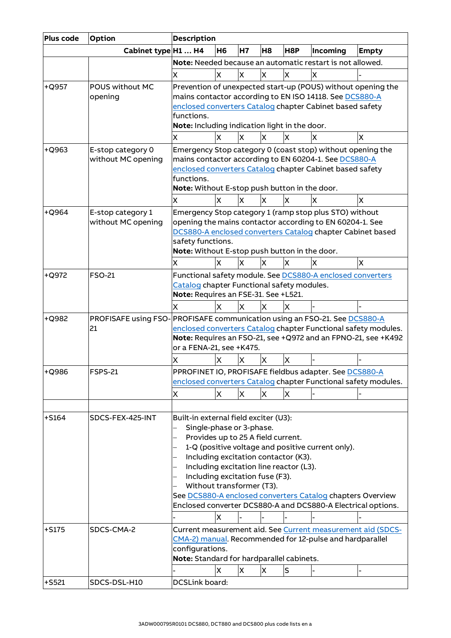| Plus code | <b>Option</b>          | <b>Description</b>                                           |                         |              |                |         |                                                              |                                                                |
|-----------|------------------------|--------------------------------------------------------------|-------------------------|--------------|----------------|---------|--------------------------------------------------------------|----------------------------------------------------------------|
|           | Cabinet type H1  H4    |                                                              | H <sub>6</sub>          | <b>H7</b>    | H <sub>8</sub> | H8P     | Incoming                                                     | <b>Empty</b>                                                   |
|           |                        |                                                              |                         |              |                |         | Note: Needed because an automatic restart is not allowed.    |                                                                |
|           |                        | X                                                            | X                       | X            | X              | X       | X                                                            |                                                                |
| $+$ Q957  | <b>POUS without MC</b> |                                                              |                         |              |                |         | Prevention of unexpected start-up (POUS) without opening the |                                                                |
|           | opening                |                                                              |                         |              |                |         | mains contactor according to EN ISO 14118. See DCS880-A      |                                                                |
|           |                        |                                                              |                         |              |                |         | enclosed converters Catalog chapter Cabinet based safety     |                                                                |
|           |                        | functions.                                                   |                         |              |                |         |                                                              |                                                                |
|           |                        | Note: Including indication light in the door.                |                         |              |                |         |                                                              |                                                                |
|           |                        | x                                                            | <b>X</b>                | X            | X              | x       | X                                                            | X                                                              |
| $+Q963$   | E-stop category 0      |                                                              |                         |              |                |         | Emergency Stop category 0 (coast stop) without opening the   |                                                                |
|           | without MC opening     |                                                              |                         |              |                |         | mains contactor according to EN 60204-1. See DCS880-A        |                                                                |
|           |                        | functions.                                                   |                         |              |                |         | enclosed converters Catalog chapter Cabinet based safety     |                                                                |
|           |                        | Note: Without E-stop push button in the door.                |                         |              |                |         |                                                              |                                                                |
|           |                        | x                                                            | X                       | IX.          | X              | x       | x                                                            | X                                                              |
| $+$ Q964  | E-stop category 1      |                                                              |                         |              |                |         | Emergency Stop category 1 (ramp stop plus STO) without       |                                                                |
|           | without MC opening     |                                                              |                         |              |                |         | opening the mains contactor according to EN 60204-1. See     |                                                                |
|           |                        |                                                              |                         |              |                |         | DCS880-A enclosed converters Catalog chapter Cabinet based   |                                                                |
|           |                        | safety functions.                                            |                         |              |                |         |                                                              |                                                                |
|           |                        | Note: Without E-stop push button in the door.                |                         |              |                |         |                                                              |                                                                |
|           |                        | x                                                            | X                       | X            | X              | X       | ΙX                                                           | X                                                              |
| +Q972     | <b>FSO-21</b>          |                                                              |                         |              |                |         | Functional safety module. See DCS880-A enclosed converters   |                                                                |
|           |                        | Catalog chapter Functional safety modules.                   |                         |              |                |         |                                                              |                                                                |
|           |                        | Note: Requires an FSE-31. See +L521.                         |                         |              |                |         |                                                              |                                                                |
|           |                        | X                                                            | x                       | X            | x              | x       |                                                              |                                                                |
| +Q982     | PROFISAFE using FSO-   |                                                              |                         |              |                |         | PROFISAFE communication using an FSO-21. See DCS880-A        |                                                                |
|           | 21                     |                                                              |                         |              |                |         |                                                              | enclosed converters Catalog chapter Functional safety modules. |
|           |                        |                                                              |                         |              |                |         |                                                              | Note: Requires an FSO-21, see +Q972 and an FPNO-21, see +K492  |
|           |                        | or a FENA-21, see +K475.                                     |                         |              |                |         |                                                              |                                                                |
|           |                        | Χ                                                            | X                       | X            | X              | X       |                                                              |                                                                |
| +Q986     | <b>FSPS-21</b>         |                                                              |                         |              |                |         | PPROFINET IO, PROFISAFE fieldbus adapter. See DCS880-A       |                                                                |
|           |                        |                                                              |                         |              |                |         |                                                              | enclosed converters Catalog chapter Functional safety modules. |
|           |                        | X                                                            | X                       | X            | X              | X       |                                                              |                                                                |
|           |                        |                                                              |                         |              |                |         |                                                              |                                                                |
| $+5164$   | SDCS-FEX-425-INT       | Built-in external field exciter (U3):                        |                         |              |                |         |                                                              |                                                                |
|           |                        | Single-phase or 3-phase.                                     |                         |              |                |         |                                                              |                                                                |
|           |                        | Provides up to 25 A field current.                           |                         |              |                |         | 1-Q (positive voltage and positive current only).            |                                                                |
|           |                        | Including excitation contactor (K3).                         |                         |              |                |         |                                                              |                                                                |
|           |                        | Including excitation line reactor (L3).                      |                         |              |                |         |                                                              |                                                                |
|           |                        | Including excitation fuse (F3).                              |                         |              |                |         |                                                              |                                                                |
|           |                        | Without transformer (T3).                                    |                         |              |                |         |                                                              |                                                                |
|           |                        |                                                              |                         |              |                |         | See DCS880-A enclosed converters Catalog chapters Overview   |                                                                |
|           |                        |                                                              |                         |              |                |         | Enclosed converter DCS880-A and DCS880-A Electrical options. |                                                                |
|           |                        |                                                              | $\overline{\mathsf{x}}$ |              |                |         |                                                              |                                                                |
| $+5175$   | SDCS-CMA-2             |                                                              |                         |              |                |         |                                                              | Current measurement aid. See Current measurement aid (SDCS-    |
|           |                        |                                                              |                         |              |                |         | CMA-2) manual. Recommended for 12-pulse and hardparallel     |                                                                |
|           |                        | configurations.<br>Note: Standard for hardparallel cabinets. |                         |              |                |         |                                                              |                                                                |
|           |                        |                                                              | X                       | $\mathsf{x}$ | X              |         |                                                              |                                                                |
|           |                        |                                                              |                         |              |                | $\sf S$ |                                                              |                                                                |
| $+$ S521  | SDCS-DSL-H10           | DCSLink board:                                               |                         |              |                |         |                                                              |                                                                |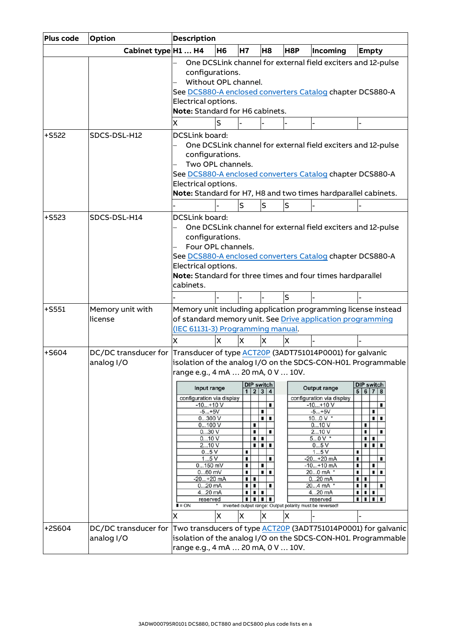| Plus code | <b>Option</b>                                                                               | <b>Description</b>                                                                                                                                                                                                                                                                            |           |                                                                                                              |                                                            |                |                                                                                                                                                                                                                                                                                    |                                                                                                                                                                                                                          |  |  |  |  |
|-----------|---------------------------------------------------------------------------------------------|-----------------------------------------------------------------------------------------------------------------------------------------------------------------------------------------------------------------------------------------------------------------------------------------------|-----------|--------------------------------------------------------------------------------------------------------------|------------------------------------------------------------|----------------|------------------------------------------------------------------------------------------------------------------------------------------------------------------------------------------------------------------------------------------------------------------------------------|--------------------------------------------------------------------------------------------------------------------------------------------------------------------------------------------------------------------------|--|--|--|--|
|           | Cabinet type H1  H4                                                                         |                                                                                                                                                                                                                                                                                               | <b>H6</b> | H7                                                                                                           | H <sub>8</sub>                                             | H8P            | Incoming                                                                                                                                                                                                                                                                           | <b>Empty</b>                                                                                                                                                                                                             |  |  |  |  |
|           |                                                                                             | configurations.<br>Without OPL channel.<br>Electrical options.<br>Note: Standard for H6 cabinets.                                                                                                                                                                                             |           |                                                                                                              |                                                            |                | See DCS880-A enclosed converters Catalog chapter DCS880-A                                                                                                                                                                                                                          | One DCSLink channel for external field exciters and 12-pulse                                                                                                                                                             |  |  |  |  |
|           |                                                                                             | X                                                                                                                                                                                                                                                                                             | ls        |                                                                                                              |                                                            | $\overline{a}$ |                                                                                                                                                                                                                                                                                    |                                                                                                                                                                                                                          |  |  |  |  |
| $+5522$   | SDCS-DSL-H12                                                                                | <b>DCSLink board:</b><br>configurations.<br>Two OPL channels.<br>Electrical options.                                                                                                                                                                                                          |           |                                                                                                              |                                                            |                | See DCS880-A enclosed converters Catalog chapter DCS880-A                                                                                                                                                                                                                          | One DCSLink channel for external field exciters and 12-pulse<br>Note: Standard for H7, H8 and two times hardparallel cabinets.                                                                                           |  |  |  |  |
|           |                                                                                             |                                                                                                                                                                                                                                                                                               |           | S                                                                                                            | S                                                          | S              |                                                                                                                                                                                                                                                                                    |                                                                                                                                                                                                                          |  |  |  |  |
| $+5523$   | SDCS-DSL-H14                                                                                | <b>DCSLink board:</b><br>One DCSLink channel for external field exciters and 12-pulse<br>configurations.<br>Four OPL channels.<br>See DCS880-A enclosed converters Catalog chapter DCS880-A<br>Electrical options.<br>Note: Standard for three times and four times hardparallel<br>cabinets. |           |                                                                                                              |                                                            |                |                                                                                                                                                                                                                                                                                    |                                                                                                                                                                                                                          |  |  |  |  |
|           |                                                                                             |                                                                                                                                                                                                                                                                                               |           |                                                                                                              |                                                            | $\mathsf{s}$   |                                                                                                                                                                                                                                                                                    |                                                                                                                                                                                                                          |  |  |  |  |
| $+$ S551  | Memory unit with<br>license                                                                 | (IEC 61131-3) Programming manual.<br>X                                                                                                                                                                                                                                                        | X         | X                                                                                                            | X                                                          | X              | of standard memory unit. See Drive application programming                                                                                                                                                                                                                         | Memory unit including application programming license instead                                                                                                                                                            |  |  |  |  |
| $+$ S604  | DC/DC transducer for Transducer of type ACT20P (3ADT751014P0001) for galvanic<br>analog I/O | range e.g., 4 mA  20 mA, 0 V  10V.<br>Input range<br>configuration via display<br>$-10+10V$<br>$-5+5V$<br>0300V<br>0100V<br>030V<br>010V<br>210V<br>05V<br>15V<br>$0150$ mV<br>$060$ mV<br>$-20+20$ mA<br>$020$ mA<br>420 mA<br>reserved<br>$I = ON$<br>X                                     | X         | <b>DIP switch</b><br>1 2 3 4<br>п<br>٠<br>٠<br>ш<br>п<br>п<br>п<br>п<br>п<br>٠<br>п<br>٠<br>٠<br>٠<br>٠<br>X | п<br>ш<br>٠<br>٠<br>ш<br>٠<br>٠<br>┅<br>٠<br>٠<br>. .<br>X | X              | <b>Output range</b><br>configuration via display<br>$-10+10V$<br>$-5+5V$<br>100 V $*$<br>010V<br>210V<br>$50V$ *<br>05V<br>15V<br>$-20+20$ mA<br>$-10+10$ mA<br>200 mA *<br>$020$ mA<br>204 mA *<br>420 mA<br>reserved<br>Inverted output range: Output polarity must be reversed! | isolation of the analog I/O on the SDCS-CON-H01. Programmable<br><b>DIP switch</b><br>5 6 7 8<br>٠<br>٠<br>٠<br>п<br>٠<br>٠<br>٠<br>٠<br>٠<br>п<br>٠<br>٠<br>п<br>٠<br>٠<br>٠<br>٠<br>. .<br>٠<br>.<br>٠<br>∎∣<br>٠<br>٠ |  |  |  |  |
| +2S604    | DC/DC transducer for<br>analog I/O                                                          | range e.g., 4 mA  20 mA, 0 V  10V.                                                                                                                                                                                                                                                            |           |                                                                                                              |                                                            |                |                                                                                                                                                                                                                                                                                    | Two transducers of type <b>ACT20P</b> (3ADT751014P0001) for galvanic<br>isolation of the analog I/O on the SDCS-CON-H01. Programmable                                                                                    |  |  |  |  |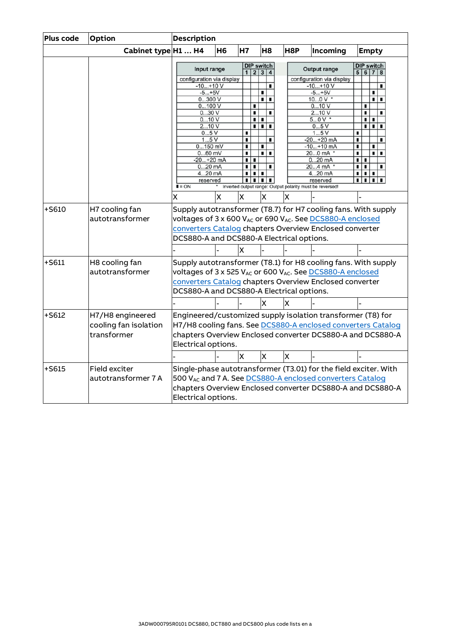| Plus code | Option                | <b>Description</b>                        |    |                         |                              |                         |     |  |                                                                  |        |   |                              |  |
|-----------|-----------------------|-------------------------------------------|----|-------------------------|------------------------------|-------------------------|-----|--|------------------------------------------------------------------|--------|---|------------------------------|--|
|           | Cabinet type H1  H4   |                                           | H6 | <b>H7</b>               |                              | H8                      | H8P |  | Incoming                                                         |        |   | <b>Empty</b>                 |  |
|           |                       | Input range                               |    |                         | <b>DIP switch</b><br>1 2 3 4 |                         |     |  | <b>Output range</b>                                              |        |   | <b>DIP switch</b><br>5 6 7 8 |  |
|           |                       | configuration via display<br>$-10+10V$    |    |                         |                              |                         |     |  | configuration via display<br>$-10+10V$                           |        |   | ٠                            |  |
|           |                       | $-5+5V$                                   |    |                         |                              | п                       |     |  | $-5+5V$                                                          |        |   | п                            |  |
|           |                       | 0300V                                     |    |                         |                              | π                       |     |  | $100V$ *                                                         |        |   | ٠<br>٠                       |  |
|           |                       | 0100V                                     |    |                         | п                            |                         |     |  | 010V                                                             |        | п |                              |  |
|           |                       | 030V                                      |    |                         | П                            |                         |     |  | 210V                                                             |        | п |                              |  |
|           |                       | 010V                                      |    |                         | ٠                            | ٠                       |     |  | $50V$ *                                                          |        | ٠ | п                            |  |
|           |                       | 210V                                      |    |                         | ٠                            | пш                      |     |  | 05V                                                              |        | ш | $\blacksquare$<br>٠          |  |
|           |                       | 05V                                       |    | ٠                       |                              | п                       |     |  | 15V                                                              | ٠      |   | ٠                            |  |
|           |                       | 15V<br>$0150$ mV                          |    | п<br>п                  |                              | п                       |     |  | $-20+20$ mA<br>$-10+10$ mA                                       | ٠<br>п |   | п                            |  |
|           |                       | $060$ mV                                  |    | П                       |                              | T I                     |     |  | 200 mA *                                                         | п      |   | . .                          |  |
|           |                       | $-20+20$ mA                               |    | ٠                       | п                            |                         |     |  | $020$ mA                                                         | ٠      | п |                              |  |
|           |                       | $020$ mA                                  |    | п                       | п                            |                         |     |  | 204 mA *                                                         | п      | т | п                            |  |
|           |                       | 420 mA                                    |    | ٠                       | ٠                            |                         |     |  | 420 mA                                                           | ٠      | ٠ | п                            |  |
|           |                       | reserved                                  |    | ٠                       | ٠                            | ш                       |     |  | reserved                                                         | ٠      | ٠ |                              |  |
|           |                       | $I = ON$                                  |    |                         |                              |                         |     |  | Inverted output range: Output polarity must be reversed!         |        |   |                              |  |
|           |                       | x                                         | X  | X                       |                              | X                       | x   |  |                                                                  |        |   |                              |  |
| +S610     | H7 cooling fan        |                                           |    |                         |                              |                         |     |  | Supply autotransformer (T8.7) for H7 cooling fans. With supply   |        |   |                              |  |
|           | autotransformer       |                                           |    |                         |                              |                         |     |  | voltages of 3 x 600 VAC or 690 VAC. See DCS880-A enclosed        |        |   |                              |  |
|           |                       |                                           |    |                         |                              |                         |     |  | converters Catalog chapters Overview Enclosed converter          |        |   |                              |  |
|           |                       | DCS880-A and DCS880-A Electrical options. |    |                         |                              |                         |     |  |                                                                  |        |   |                              |  |
|           |                       |                                           |    |                         |                              |                         |     |  |                                                                  |        |   |                              |  |
|           |                       |                                           |    | X                       |                              |                         |     |  |                                                                  |        |   |                              |  |
| $+5611$   | H8 cooling fan        |                                           |    |                         |                              |                         |     |  | Supply autotransformer (T8.1) for H8 cooling fans. With supply   |        |   |                              |  |
|           | autotransformer       |                                           |    |                         |                              |                         |     |  | voltages of 3 x 525 VAc or 600 VAc. See DCS880-A enclosed        |        |   |                              |  |
|           |                       |                                           |    |                         |                              |                         |     |  | converters Catalog chapters Overview Enclosed converter          |        |   |                              |  |
|           |                       |                                           |    |                         |                              |                         |     |  |                                                                  |        |   |                              |  |
|           |                       | DCS880-A and DCS880-A Electrical options. |    |                         |                              |                         |     |  |                                                                  |        |   |                              |  |
|           |                       |                                           |    |                         |                              | x                       |     |  |                                                                  |        |   |                              |  |
| $+5612$   | H7/H8 engineered      |                                           |    |                         |                              |                         |     |  | Engineered/customized supply isolation transformer (T8) for      |        |   |                              |  |
|           | cooling fan isolation |                                           |    |                         |                              |                         |     |  | H7/H8 cooling fans. See DCS880-A enclosed converters Catalog     |        |   |                              |  |
|           | transformer           |                                           |    |                         |                              |                         |     |  |                                                                  |        |   |                              |  |
|           |                       |                                           |    |                         |                              |                         |     |  | chapters Overview Enclosed converter DCS880-A and DCS880-A       |        |   |                              |  |
|           |                       | Electrical options.                       |    |                         |                              |                         |     |  |                                                                  |        |   |                              |  |
|           |                       |                                           |    | $\overline{\mathsf{x}}$ |                              | $\overline{\mathsf{X}}$ | Ιx  |  |                                                                  |        |   |                              |  |
| +S615     | Field exciter         |                                           |    |                         |                              |                         |     |  | Single-phase autotransformer (T3.01) for the field exciter. With |        |   |                              |  |
|           | autotransformer 7 A   |                                           |    |                         |                              |                         |     |  | 500 VAc and 7 A. See DCS880-A enclosed converters Catalog        |        |   |                              |  |
|           |                       |                                           |    |                         |                              |                         |     |  |                                                                  |        |   |                              |  |
|           |                       |                                           |    |                         |                              |                         |     |  | chapters Overview Enclosed converter DCS880-A and DCS880-A       |        |   |                              |  |
|           |                       | Electrical options.                       |    |                         |                              |                         |     |  |                                                                  |        |   |                              |  |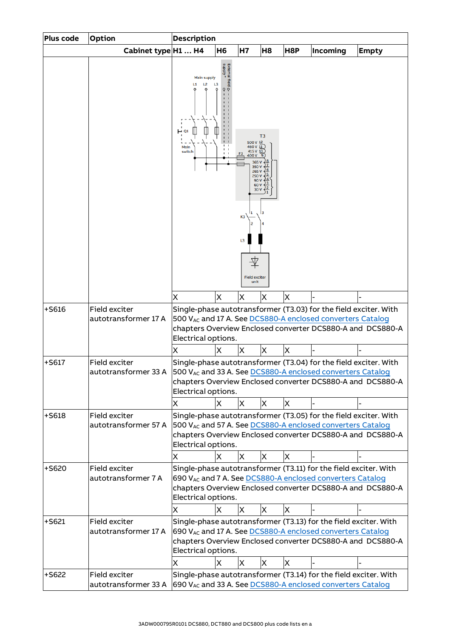| Plus code | Option                                                                                           | <b>Description</b>                                                                                                                                                                                                  |                |                                                                                                                                             |                |                         |                                                                                                                                |                                                            |  |  |
|-----------|--------------------------------------------------------------------------------------------------|---------------------------------------------------------------------------------------------------------------------------------------------------------------------------------------------------------------------|----------------|---------------------------------------------------------------------------------------------------------------------------------------------|----------------|-------------------------|--------------------------------------------------------------------------------------------------------------------------------|------------------------------------------------------------|--|--|
|           | Cabinet type H1  H4                                                                              |                                                                                                                                                                                                                     | H <sub>6</sub> | <b>H7</b>                                                                                                                                   | H <sub>8</sub> | H8P                     | Incoming                                                                                                                       | <b>Empty</b>                                               |  |  |
|           |                                                                                                  | <b>Main supply</b><br>L <sub>2</sub><br>L1<br>Main<br>switch                                                                                                                                                        | L3             | 500 V 12<br>460 V 11<br>415 V 10<br>400V<br>365<br>350V<br>265V<br>250V<br>90 V<br>60 V<br>30 V<br>K3<br>L3<br><b>Field exciter</b><br>unit | T <sub>3</sub> |                         |                                                                                                                                |                                                            |  |  |
|           |                                                                                                  | X                                                                                                                                                                                                                   | X              | X                                                                                                                                           | X              | X                       |                                                                                                                                |                                                            |  |  |
| $+$ S616  | Field exciter<br>autotransformer 17 A                                                            | Electrical options.                                                                                                                                                                                                 |                |                                                                                                                                             |                |                         | Single-phase autotransformer (T3.03) for the field exciter. With<br>500 VAc and 17 A. See DCS880-A enclosed converters Catalog | chapters Overview Enclosed converter DCS880-A and DCS880-A |  |  |
|           |                                                                                                  | X                                                                                                                                                                                                                   | X              | X                                                                                                                                           | X              | $\overline{\mathsf{x}}$ |                                                                                                                                |                                                            |  |  |
| $+$ S617  | Field exciter<br>autotransformer 33 A 500 VAc and 33 A. See DCS880-A enclosed converters Catalog | Electrical options.                                                                                                                                                                                                 |                |                                                                                                                                             |                |                         | Single-phase autotransformer (T3.04) for the field exciter. With                                                               | chapters Overview Enclosed converter DCS880-A and DCS880-A |  |  |
|           |                                                                                                  | X                                                                                                                                                                                                                   | X              | X                                                                                                                                           | х              | X                       |                                                                                                                                |                                                            |  |  |
| $+$ S618  | Field exciter<br>autotransformer 57 A                                                            | Electrical options.                                                                                                                                                                                                 |                |                                                                                                                                             |                |                         | Single-phase autotransformer (T3.05) for the field exciter. With<br>500 VAC and 57 A. See DCS880-A enclosed converters Catalog | chapters Overview Enclosed converter DCS880-A and DCS880-A |  |  |
|           |                                                                                                  | Χ                                                                                                                                                                                                                   | X              | X                                                                                                                                           | X              | X                       |                                                                                                                                |                                                            |  |  |
| $+5620$   | Field exciter<br>autotransformer 7 A                                                             | Electrical options.<br>х                                                                                                                                                                                            | X              | $\times$                                                                                                                                    | X              | X                       | Single-phase autotransformer (T3.11) for the field exciter. With<br>690 VAC and 7 A. See DCS880-A enclosed converters Catalog  | chapters Overview Enclosed converter DCS880-A and DCS880-A |  |  |
| $+5621$   | Field exciter                                                                                    |                                                                                                                                                                                                                     |                |                                                                                                                                             |                |                         |                                                                                                                                |                                                            |  |  |
|           | autotransformer 17 A                                                                             | Single-phase autotransformer (T3.13) for the field exciter. With<br>690 VAc and 17 A. See DCS880-A enclosed converters Catalog<br>chapters Overview Enclosed converter DCS880-A and DCS880-A<br>Electrical options. |                |                                                                                                                                             |                |                         |                                                                                                                                |                                                            |  |  |
|           | Field exciter                                                                                    | Χ                                                                                                                                                                                                                   | X              | X                                                                                                                                           | Х              | X                       |                                                                                                                                |                                                            |  |  |
| $+$ S622  | autotransformer 33 A                                                                             |                                                                                                                                                                                                                     |                |                                                                                                                                             |                |                         | Single-phase autotransformer (T3.14) for the field exciter. With<br>690 VAc and 33 A. See DCS880-A enclosed converters Catalog |                                                            |  |  |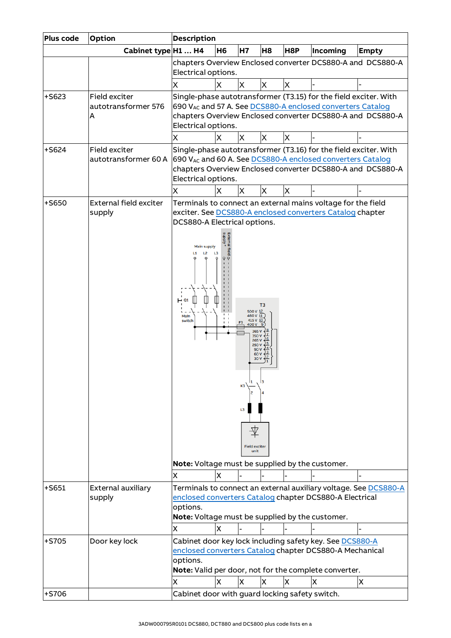| Plus code | <b>Option</b>                             | <b>Description</b>                                                                                                                                                                       |           |                                                                                                                                       |                |     |                                                                                                              |                                                                                                                                |  |
|-----------|-------------------------------------------|------------------------------------------------------------------------------------------------------------------------------------------------------------------------------------------|-----------|---------------------------------------------------------------------------------------------------------------------------------------|----------------|-----|--------------------------------------------------------------------------------------------------------------|--------------------------------------------------------------------------------------------------------------------------------|--|
|           | Cabinet type H1  H4                       |                                                                                                                                                                                          | <b>H6</b> | <b>H7</b>                                                                                                                             | H <sub>8</sub> | H8P | Incoming                                                                                                     | <b>Empty</b>                                                                                                                   |  |
|           |                                           | Electrical options.                                                                                                                                                                      |           |                                                                                                                                       |                |     |                                                                                                              | chapters Overview Enclosed converter DCS880-A and DCS880-A                                                                     |  |
|           |                                           | Χ                                                                                                                                                                                        | X         | X                                                                                                                                     | Χ              | X   |                                                                                                              |                                                                                                                                |  |
| $+5623$   | Field exciter<br>autotransformer 576<br>A | Electrical options.                                                                                                                                                                      |           |                                                                                                                                       |                |     | 690 VAc and 57 A. See DCS880-A enclosed converters Catalog                                                   | Single-phase autotransformer (T3.15) for the field exciter. With<br>chapters Overview Enclosed converter DCS880-A and DCS880-A |  |
|           |                                           | Χ                                                                                                                                                                                        | X         | ΙX                                                                                                                                    | X              | X   |                                                                                                              |                                                                                                                                |  |
| +S624     | Field exciter<br>autotransformer 60 A     | Electrical options.                                                                                                                                                                      |           |                                                                                                                                       |                |     | 690 VAc and 60 A. See DCS880-A enclosed converters Catalog                                                   | Single-phase autotransformer (T3.16) for the field exciter. With<br>chapters Overview Enclosed converter DCS880-A and DCS880-A |  |
| +S650     | External field exciter                    | X                                                                                                                                                                                        | X         | ΙX                                                                                                                                    | Х              | X   | Terminals to connect an external mains voltage for the field                                                 |                                                                                                                                |  |
| $+5651$   | supply<br>External auxiliary              | DCS880-A Electrical options.<br><b>Main supply</b><br>L <sub>2</sub><br>L1<br>Main<br>switch<br>X                                                                                        | LЗ<br>X   | 500 V 12<br>460 V 11<br>415V<br>400 V<br>365 \<br>350 V<br>265V<br>250 V<br>90 V<br>60 V<br>30 \<br>K3<br>L3<br>Field exciter<br>unit | T <sub>3</sub> |     | exciter. See DCS880-A enclosed converters Catalog chapter<br>Note: Voltage must be supplied by the customer. | Terminals to connect an external auxiliary voltage. See DCS880-A                                                               |  |
|           | supply                                    | enclosed converters Catalog chapter DCS880-A Electrical<br>options.<br>Note: Voltage must be supplied by the customer.                                                                   |           |                                                                                                                                       |                |     |                                                                                                              |                                                                                                                                |  |
|           |                                           | X                                                                                                                                                                                        | X         |                                                                                                                                       |                |     |                                                                                                              |                                                                                                                                |  |
| +S705     | Door key lock                             | Cabinet door key lock including safety key. See DCS880-A<br>enclosed converters Catalog chapter DCS880-A Mechanical<br>options.<br>Note: Valid per door, not for the complete converter. |           |                                                                                                                                       |                |     |                                                                                                              |                                                                                                                                |  |
|           |                                           | X                                                                                                                                                                                        | X         | X                                                                                                                                     | X              | X   | X                                                                                                            | X                                                                                                                              |  |
| +S706     |                                           | Cabinet door with guard locking safety switch.                                                                                                                                           |           |                                                                                                                                       |                |     |                                                                                                              |                                                                                                                                |  |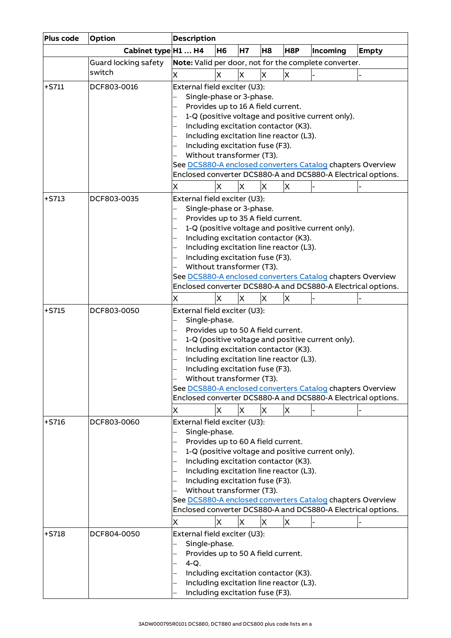| Plus code | <b>Option</b>               | <b>Description</b>                                                                                                                                                                                                                                                                                                                                                                                                                                            |                |           |                |     |                                                                                                                                                                                 |              |  |  |
|-----------|-----------------------------|---------------------------------------------------------------------------------------------------------------------------------------------------------------------------------------------------------------------------------------------------------------------------------------------------------------------------------------------------------------------------------------------------------------------------------------------------------------|----------------|-----------|----------------|-----|---------------------------------------------------------------------------------------------------------------------------------------------------------------------------------|--------------|--|--|
|           | Cabinet type H1  H4         |                                                                                                                                                                                                                                                                                                                                                                                                                                                               | H <sub>6</sub> | <b>H7</b> | H <sub>8</sub> | H8P | Incoming                                                                                                                                                                        | <b>Empty</b> |  |  |
|           | <b>Guard locking safety</b> |                                                                                                                                                                                                                                                                                                                                                                                                                                                               |                |           |                |     | Note: Valid per door, not for the complete converter.                                                                                                                           |              |  |  |
|           | switch                      | X                                                                                                                                                                                                                                                                                                                                                                                                                                                             | X              | X         | X              | X   |                                                                                                                                                                                 |              |  |  |
| $+5711$   | DCF803-0016                 | External field exciter (U3):<br>Single-phase or 3-phase.<br>Provides up to 16 A field current.<br>1-Q (positive voltage and positive current only).<br>Including excitation contactor (K3).<br>Including excitation line reactor (L3).<br>Including excitation fuse (F3).<br>Without transformer (T3).<br>See DCS880-A enclosed converters Catalog chapters Overview<br>Enclosed converter DCS880-A and DCS880-A Electrical options.<br>X<br>X<br>X<br>X<br>X |                |           |                |     |                                                                                                                                                                                 |              |  |  |
|           |                             |                                                                                                                                                                                                                                                                                                                                                                                                                                                               |                |           |                |     |                                                                                                                                                                                 |              |  |  |
| $+5713$   | DCF803-0035                 | External field exciter (U3):<br>Single-phase or 3-phase.<br>Provides up to 35 A field current.<br>Including excitation contactor (K3).<br>Including excitation line reactor (L3).<br>Including excitation fuse (F3).<br>Without transformer (T3).<br>Χ                                                                                                                                                                                                        | X              | X         | Х              | X   | 1-Q (positive voltage and positive current only).<br>See DCS880-A enclosed converters Catalog chapters Overview<br>Enclosed converter DCS880-A and DCS880-A Electrical options. |              |  |  |
| $+5715$   | DCF803-0050                 | External field exciter (U3):                                                                                                                                                                                                                                                                                                                                                                                                                                  |                |           |                |     |                                                                                                                                                                                 |              |  |  |
|           |                             | Single-phase.<br>Provides up to 50 A field current.<br>Including excitation contactor (K3).<br>Including excitation line reactor (L3).<br>Including excitation fuse (F3).<br>Without transformer (T3).<br>Χ                                                                                                                                                                                                                                                   | X              | X         | X              | X   | 1-Q (positive voltage and positive current only).<br>See DCS880-A enclosed converters Catalog chapters Overview<br>Enclosed converter DCS880-A and DCS880-A Electrical options. |              |  |  |
| $+5716$   | DCF803-0060                 | External field exciter (U3):                                                                                                                                                                                                                                                                                                                                                                                                                                  |                |           |                |     |                                                                                                                                                                                 |              |  |  |
|           |                             | Single-phase.<br>Provides up to 60 A field current.<br>1-Q (positive voltage and positive current only).<br>Including excitation contactor (K3).<br>Including excitation line reactor (L3).<br>Including excitation fuse (F3).<br>Without transformer (T3).<br>See DCS880-A enclosed converters Catalog chapters Overview<br>Enclosed converter DCS880-A and DCS880-A Electrical options.<br>$\times$<br>X<br>Χ<br>X<br>Х                                     |                |           |                |     |                                                                                                                                                                                 |              |  |  |
| $+5718$   | DCF804-0050                 | External field exciter (U3):<br>Single-phase.<br>Provides up to 50 A field current.<br>$4-Q.$<br>Including excitation contactor (K3).<br>Including excitation line reactor (L3).<br>Including excitation fuse (F3).                                                                                                                                                                                                                                           |                |           |                |     |                                                                                                                                                                                 |              |  |  |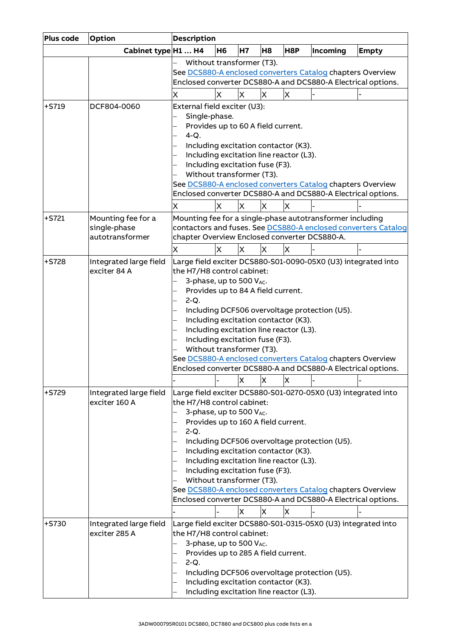| Plus code          | Option                                                           | <b>Description</b>                                                                                                                                                                                                                    |    |                         |                         |                                                                                      |                                                                                                             |                                                                                                                                                                                                |  |
|--------------------|------------------------------------------------------------------|---------------------------------------------------------------------------------------------------------------------------------------------------------------------------------------------------------------------------------------|----|-------------------------|-------------------------|--------------------------------------------------------------------------------------|-------------------------------------------------------------------------------------------------------------|------------------------------------------------------------------------------------------------------------------------------------------------------------------------------------------------|--|
|                    | Cabinet type H1  H4                                              |                                                                                                                                                                                                                                       | H6 | H7                      | H <sub>8</sub>          | H8P                                                                                  | Incoming                                                                                                    | <b>Empty</b>                                                                                                                                                                                   |  |
|                    |                                                                  | Without transformer (T3).                                                                                                                                                                                                             |    |                         |                         |                                                                                      |                                                                                                             |                                                                                                                                                                                                |  |
|                    |                                                                  |                                                                                                                                                                                                                                       |    |                         |                         |                                                                                      | See DCS880-A enclosed converters Catalog chapters Overview                                                  |                                                                                                                                                                                                |  |
|                    |                                                                  |                                                                                                                                                                                                                                       |    |                         |                         |                                                                                      |                                                                                                             | Enclosed converter DCS880-A and DCS880-A Electrical options.                                                                                                                                   |  |
|                    |                                                                  | Χ                                                                                                                                                                                                                                     | Χ  | X                       | $\overline{\mathsf{x}}$ | X                                                                                    |                                                                                                             |                                                                                                                                                                                                |  |
| $+5719$            | DCF804-0060                                                      | External field exciter (U3):<br>Single-phase.<br>Provides up to 60 A field current.<br>$4-Q.$                                                                                                                                         |    |                         |                         | Including excitation contactor (K3).                                                 |                                                                                                             |                                                                                                                                                                                                |  |
|                    |                                                                  | Including excitation line reactor (L3).<br>Including excitation fuse (F3).<br>Without transformer (T3).<br>See DCS880-A enclosed converters Catalog chapters Overview<br>Enclosed converter DCS880-A and DCS880-A Electrical options. |    |                         |                         |                                                                                      |                                                                                                             |                                                                                                                                                                                                |  |
|                    |                                                                  | Χ                                                                                                                                                                                                                                     | Χ  | X                       | X                       | X                                                                                    |                                                                                                             |                                                                                                                                                                                                |  |
| $+5721$            | Mounting fee for a                                               |                                                                                                                                                                                                                                       |    |                         |                         |                                                                                      | Mounting fee for a single-phase autotransformer including                                                   |                                                                                                                                                                                                |  |
|                    | single-phase                                                     |                                                                                                                                                                                                                                       |    |                         |                         |                                                                                      |                                                                                                             | contactors and fuses. See DCS880-A enclosed converters Catalog                                                                                                                                 |  |
|                    | autotransformer                                                  | chapter Overview Enclosed converter DCS880-A.                                                                                                                                                                                         |    |                         |                         |                                                                                      |                                                                                                             |                                                                                                                                                                                                |  |
|                    |                                                                  | X                                                                                                                                                                                                                                     | X  | X                       | X                       | X                                                                                    |                                                                                                             |                                                                                                                                                                                                |  |
| $+5728$<br>$+5729$ | Integrated large field<br>exciter 84 A<br>Integrated large field | the H7/H8 control cabinet:<br>3-phase, up to 500 VAC.<br>Provides up to 84 A field current.<br>$2-Q.$<br>Including excitation fuse (F3).<br>Without transformer (T3).                                                                 |    | X                       | X                       | Including excitation contactor (K3).<br>Including excitation line reactor (L3).<br>X | Including DCF506 overvoltage protection (U5).<br>See DCS880-A enclosed converters Catalog chapters Overview | Large field exciter DCS880-S01-0090-05X0 (U3) integrated into<br>Enclosed converter DCS880-A and DCS880-A Electrical options.<br>Large field exciter DCS880-S01-0270-05X0 (U3) integrated into |  |
| $+5730$            | exciter 160 A<br>Integrated large field                          | the H7/H8 control cabinet:<br>3-phase, up to 500 VAC.<br>Provides up to 160 A field current.<br>$2-Q.$<br>Including excitation fuse (F3).<br>Without transformer (T3).                                                                |    | $\overline{\mathsf{x}}$ | X                       | Including excitation contactor (K3).<br>Including excitation line reactor (L3).<br>X | Including DCF506 overvoltage protection (U5).<br>See DCS880-A enclosed converters Catalog chapters Overview | Enclosed converter DCS880-A and DCS880-A Electrical options.<br>Large field exciter DCS880-S01-0315-05X0 (U3) integrated into                                                                  |  |
|                    | exciter 285 A                                                    | the H7/H8 control cabinet:<br>3-phase, up to 500 VAC.<br>Provides up to 285 A field current.<br>$2-Q.$                                                                                                                                |    |                         |                         | Including excitation contactor (K3).<br>Including excitation line reactor (L3).      | Including DCF506 overvoltage protection (U5).                                                               |                                                                                                                                                                                                |  |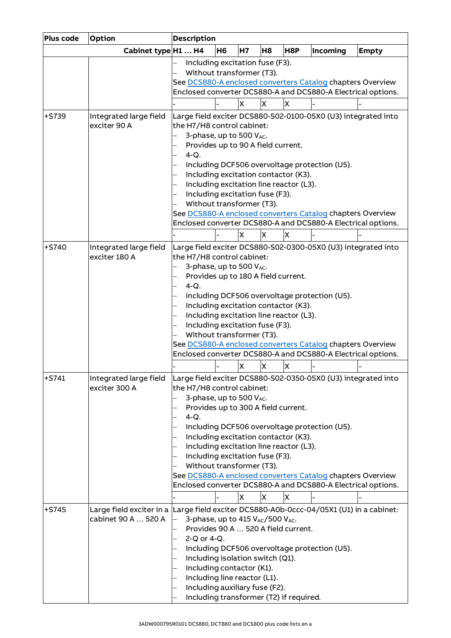| Plus code | Option                                  | <b>Description</b>                                                                                                                                     |  |  |  |  |
|-----------|-----------------------------------------|--------------------------------------------------------------------------------------------------------------------------------------------------------|--|--|--|--|
|           | Cabinet type H1  H4                     | <b>H6</b><br><b>H7</b><br>H <sub>8</sub><br>H8P<br>Incoming<br><b>Empty</b>                                                                            |  |  |  |  |
|           |                                         | Including excitation fuse (F3).<br>Without transformer (T3).<br>See DCS880-A enclosed converters Catalog chapters Overview                             |  |  |  |  |
|           |                                         | Enclosed converter DCS880-A and DCS880-A Electrical options.                                                                                           |  |  |  |  |
|           |                                         | <b>X</b><br>X<br>X                                                                                                                                     |  |  |  |  |
| +S739     | Integrated large field                  | Large field exciter DCS880-S02-0100-05X0 (U3) integrated into                                                                                          |  |  |  |  |
|           | exciter 90 A                            | the H7/H8 control cabinet:<br>3-phase, up to 500 VAC.<br>Provides up to 90 A field current.<br>$4-Q.$<br>Including DCF506 overvoltage protection (U5). |  |  |  |  |
|           |                                         | Including excitation contactor (K3).                                                                                                                   |  |  |  |  |
|           |                                         | Including excitation line reactor (L3).<br>Including excitation fuse (F3).                                                                             |  |  |  |  |
|           |                                         | Without transformer (T3).                                                                                                                              |  |  |  |  |
|           |                                         | See DCS880-A enclosed converters Catalog chapters Overview                                                                                             |  |  |  |  |
|           |                                         | Enclosed converter DCS880-A and DCS880-A Electrical options.                                                                                           |  |  |  |  |
|           |                                         | <b>X</b><br>X<br>X                                                                                                                                     |  |  |  |  |
| $+5740$   | Integrated large field<br>exciter 180 A | Large field exciter DCS880-S02-0300-05X0 (U3) integrated into<br>the H7/H8 control cabinet:                                                            |  |  |  |  |
|           |                                         | 3-phase, up to 500 VAC.<br>Provides up to 180 A field current.<br>$4-Q.$                                                                               |  |  |  |  |
|           |                                         | Including DCF506 overvoltage protection (U5).                                                                                                          |  |  |  |  |
|           |                                         | Including excitation contactor (K3).                                                                                                                   |  |  |  |  |
|           |                                         | Including excitation line reactor (L3).                                                                                                                |  |  |  |  |
|           |                                         | Including excitation fuse (F3).                                                                                                                        |  |  |  |  |
|           |                                         | Without transformer (T3).<br>See DCS880-A enclosed converters Catalog chapters Overview                                                                |  |  |  |  |
|           |                                         | Enclosed converter DCS880-A and DCS880-A Electrical options.                                                                                           |  |  |  |  |
|           |                                         | X<br>X<br>X                                                                                                                                            |  |  |  |  |
| $+5741$   | Integrated large field                  | Large field exciter DCS880-S02-0350-05X0 (U3) integrated into                                                                                          |  |  |  |  |
|           | exciter 300 A                           | the H7/H8 control cabinet:                                                                                                                             |  |  |  |  |
|           |                                         | 3-phase, up to 500 VAC.                                                                                                                                |  |  |  |  |
|           |                                         | Provides up to 300 A field current.                                                                                                                    |  |  |  |  |
|           |                                         | $4-Q.$                                                                                                                                                 |  |  |  |  |
|           |                                         | Including DCF506 overvoltage protection (U5).<br>Including excitation contactor (K3).<br>Including excitation line reactor (L3).                       |  |  |  |  |
|           |                                         | Including excitation fuse (F3).                                                                                                                        |  |  |  |  |
|           |                                         | Without transformer (T3).                                                                                                                              |  |  |  |  |
|           |                                         | See DCS880-A enclosed converters Catalog chapters Overview                                                                                             |  |  |  |  |
|           |                                         | Enclosed converter DCS880-A and DCS880-A Electrical options.                                                                                           |  |  |  |  |
|           |                                         | X<br>X<br>X                                                                                                                                            |  |  |  |  |
| $+5745$   | Large field exciter in a                | Large field exciter DCS880-A0b-0ccc-04/05X1 (U1) in a cabinet:                                                                                         |  |  |  |  |
|           | cabinet 90 A  520 A                     | 3-phase, up to 415 VAC/500 VAC.                                                                                                                        |  |  |  |  |
|           |                                         | Provides 90 A  520 A field current.<br>2-Q or 4-Q.                                                                                                     |  |  |  |  |
|           |                                         | Including DCF506 overvoltage protection (U5).                                                                                                          |  |  |  |  |
|           |                                         | Including isolation switch (Q1).                                                                                                                       |  |  |  |  |
|           |                                         | Including contactor (K1).                                                                                                                              |  |  |  |  |
|           |                                         | Including line reactor (L1).                                                                                                                           |  |  |  |  |
|           |                                         | Including auxiliary fuse (F2).                                                                                                                         |  |  |  |  |
|           |                                         | Including transformer (T2) if required.                                                                                                                |  |  |  |  |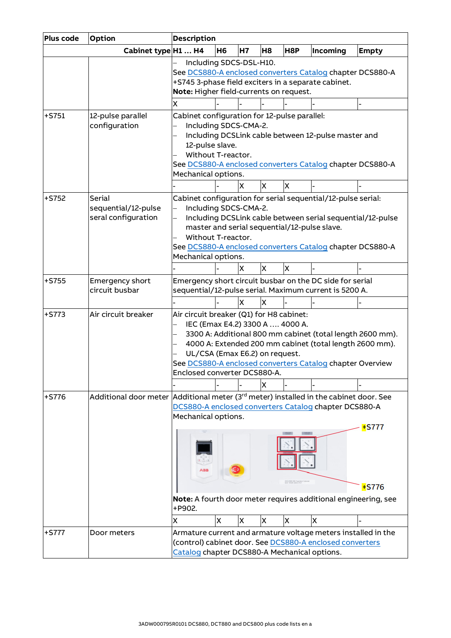| Plus code | Option                                                                                            | <b>Description</b>                                                                                                                            |           |           |    |                                 |                                                                                                                                                                                                                                         |                      |
|-----------|---------------------------------------------------------------------------------------------------|-----------------------------------------------------------------------------------------------------------------------------------------------|-----------|-----------|----|---------------------------------|-----------------------------------------------------------------------------------------------------------------------------------------------------------------------------------------------------------------------------------------|----------------------|
|           | Cabinet type H1  H4                                                                               |                                                                                                                                               | <b>H6</b> | <b>H7</b> | H8 | H8P                             | Incoming                                                                                                                                                                                                                                | <b>Empty</b>         |
|           |                                                                                                   | Including SDCS-DSL-H10.<br>+S745 3-phase field exciters in a separate cabinet.<br>Note: Higher field-currents on request.                     |           |           |    |                                 | See DCS880-A enclosed converters Catalog chapter DCS880-A                                                                                                                                                                               |                      |
|           |                                                                                                   | Χ                                                                                                                                             |           |           |    |                                 |                                                                                                                                                                                                                                         |                      |
| $+5751$   | 12-pulse parallel<br>configuration                                                                | Cabinet configuration for 12-pulse parallel:<br>Including SDCS-CMA-2.<br>12-pulse slave.<br>Without T-reactor.<br>Mechanical options.         |           |           |    |                                 | Including DCSLink cable between 12-pulse master and<br>See DCS880-A enclosed converters Catalog chapter DCS880-A                                                                                                                        |                      |
|           |                                                                                                   |                                                                                                                                               |           | X         | X  | X                               |                                                                                                                                                                                                                                         |                      |
| +S752     | Serial<br>sequential/12-pulse<br>seral configuration                                              | Including SDCS-CMA-2.<br>Without T-reactor.<br>Mechanical options.                                                                            |           |           |    |                                 | Cabinet configuration for serial sequential/12-pulse serial:<br>Including DCSLink cable between serial sequential/12-pulse<br>master and serial sequential/12-pulse slave.<br>See DCS880-A enclosed converters Catalog chapter DCS880-A |                      |
|           |                                                                                                   |                                                                                                                                               |           | X         | X  | X                               |                                                                                                                                                                                                                                         |                      |
| $+5755$   | Emergency short<br>circuit busbar                                                                 |                                                                                                                                               |           | X         | X  |                                 | Emergency short circuit busbar on the DC side for serial<br>sequential/12-pulse serial. Maximum current is 5200 A.                                                                                                                      |                      |
| $+5773$   | Air circuit breaker                                                                               | Air circuit breaker (Q1) for H8 cabinet:<br>IEC (Emax E4.2) 3300 A  4000 A.<br>UL/CSA (Emax E6.2) on request.<br>Enclosed converter DCS880-A. |           |           | X  |                                 | 3300 A: Additional 800 mm cabinet (total length 2600 mm).<br>4000 A: Extended 200 mm cabinet (total length 2600 mm).<br>See DCS880-A enclosed converters Catalog chapter Overview                                                       |                      |
| $+5776$   | Additional door meter Additional meter (3 <sup>rd</sup> meter) installed in the cabinet door. See | Mechanical options.<br>+P902.<br>X                                                                                                            | X         | X         | X  | DOS BRENIE FIER TURNING CU<br>X | DCS880-A enclosed converters Catalog chapter DCS880-A<br>Note: A fourth door meter requires additional engineering, see<br>X                                                                                                            | $+$ S777<br>$+$ S776 |
| +S777     | Door meters                                                                                       | Catalog chapter DCS880-A Mechanical options.                                                                                                  |           |           |    |                                 | Armature current and armature voltage meters installed in the<br>(control) cabinet door. See DCS880-A enclosed converters                                                                                                               |                      |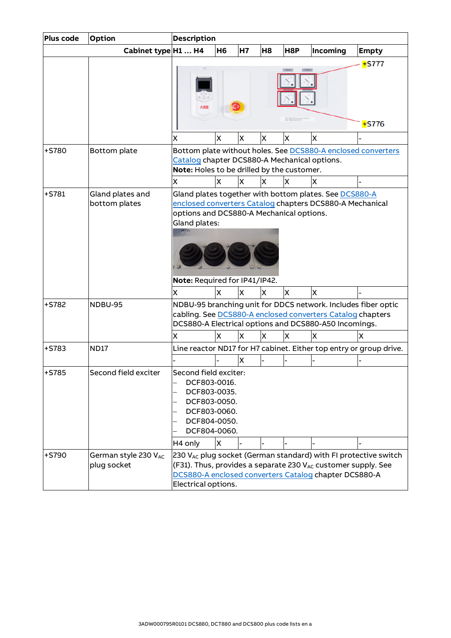| Plus code | Option                              | <b>Description</b>                                                                                                                                                                   |                |           |                |     |                                                                                                                         |                                                                             |
|-----------|-------------------------------------|--------------------------------------------------------------------------------------------------------------------------------------------------------------------------------------|----------------|-----------|----------------|-----|-------------------------------------------------------------------------------------------------------------------------|-----------------------------------------------------------------------------|
|           | Cabinet type H1  H4                 |                                                                                                                                                                                      | H <sub>6</sub> | <b>H7</b> | H <sub>8</sub> | H8P | Incoming                                                                                                                | <b>Empty</b>                                                                |
|           |                                     |                                                                                                                                                                                      |                |           |                |     |                                                                                                                         | $+$ S777                                                                    |
|           |                                     |                                                                                                                                                                                      |                |           |                |     |                                                                                                                         | $+$ S776                                                                    |
|           |                                     | x                                                                                                                                                                                    | X              | X         | X              | x   | X                                                                                                                       |                                                                             |
| +S780     | Bottom plate                        | Catalog chapter DCS880-A Mechanical options.<br>Note: Holes to be drilled by the customer.                                                                                           |                |           |                |     |                                                                                                                         | Bottom plate without holes. See DCS880-A enclosed converters                |
|           |                                     | x                                                                                                                                                                                    | x              | IX.       | x              | x   | X                                                                                                                       |                                                                             |
| $+5781$   | Gland plates and<br>bottom plates   | options and DCS880-A Mechanical options.<br>Gland plates:<br>Note: Required for IP41/IP42.<br>X                                                                                      | X              | <b>X</b>  | X              | ΙX. | Gland plates together with bottom plates. See DCS880-A<br>enclosed converters Catalog chapters DCS880-A Mechanical<br>X |                                                                             |
| $+5782$   | NDBU-95                             | NDBU-95 branching unit for DDCS network. Includes fiber optic<br>cabling. See DCS880-A enclosed converters Catalog chapters<br>DCS880-A Electrical options and DCS880-A50 Incomings. |                |           |                |     |                                                                                                                         |                                                                             |
|           |                                     | x                                                                                                                                                                                    | x              | IX.       | x              | x   | X                                                                                                                       | x                                                                           |
| $+5783$   | <b>ND17</b>                         |                                                                                                                                                                                      |                |           |                |     |                                                                                                                         | Line reactor ND17 for H7 cabinet. Either top entry or group drive.          |
|           |                                     |                                                                                                                                                                                      |                | X         |                |     |                                                                                                                         |                                                                             |
| +S785     | Second field exciter                | Second field exciter:<br>DCF803-0016.<br>DCF803-0035.<br>DCF803-0050.<br>DCF803-0060.<br>DCF804-0050.<br>DCF804-0060.<br>H <sub>4</sub> only                                         | X              |           |                |     |                                                                                                                         |                                                                             |
| +S790     | German style 230 VAC<br>plug socket | Electrical options.                                                                                                                                                                  |                |           |                |     | (F31). Thus, provides a separate 230 VAC customer supply. See<br>DCS880-A enclosed converters Catalog chapter DCS880-A  | 230 V <sub>AC</sub> plug socket (German standard) with FI protective switch |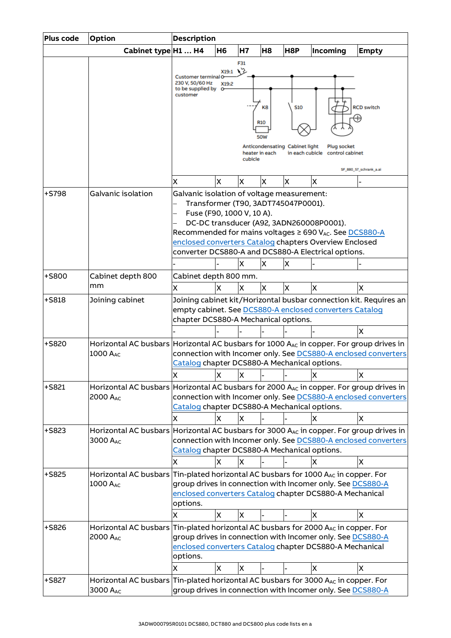| Plus code | <b>Option</b>                                                                                              | <b>Description</b>                                                                                                           |            |         |                |                                |                                                                                                               |                                                                |
|-----------|------------------------------------------------------------------------------------------------------------|------------------------------------------------------------------------------------------------------------------------------|------------|---------|----------------|--------------------------------|---------------------------------------------------------------------------------------------------------------|----------------------------------------------------------------|
|           | Cabinet type H1  H4                                                                                        |                                                                                                                              | <b>H6</b>  | H7      | H <sub>8</sub> | H8P                            | Incoming                                                                                                      | <b>Empty</b>                                                   |
|           |                                                                                                            |                                                                                                                              |            | F31     |                |                                |                                                                                                               |                                                                |
|           |                                                                                                            | Customer terminal O                                                                                                          | X19:1      | 75      |                |                                |                                                                                                               |                                                                |
|           |                                                                                                            | 230 V, 50/60 Hz<br>to be supplied by                                                                                         | X19:2<br>ᠳ |         |                |                                |                                                                                                               |                                                                |
|           |                                                                                                            | customer                                                                                                                     |            |         |                |                                |                                                                                                               |                                                                |
|           |                                                                                                            |                                                                                                                              |            |         | K8             | <b>S10</b>                     |                                                                                                               | <b>RCD switch</b>                                              |
|           |                                                                                                            |                                                                                                                              |            |         | <b>R10</b>     |                                |                                                                                                               | H)                                                             |
|           |                                                                                                            |                                                                                                                              |            |         | 50W            |                                |                                                                                                               |                                                                |
|           |                                                                                                            |                                                                                                                              |            |         |                | Anticondensating Cabinet light | <b>Plug socket</b>                                                                                            |                                                                |
|           |                                                                                                            |                                                                                                                              |            | cubicle | heater in each | in each cubicle                | control cabinet                                                                                               |                                                                |
|           |                                                                                                            |                                                                                                                              |            |         |                |                                |                                                                                                               | SF_880_57_schrank_a.ai                                         |
|           |                                                                                                            | X                                                                                                                            | X          | X       | X              | X                              | X                                                                                                             |                                                                |
| $+5798$   | Galvanic isolation                                                                                         | Galvanic isolation of voltage measurement:                                                                                   |            |         |                |                                |                                                                                                               |                                                                |
|           |                                                                                                            | Transformer (T90, 3ADT745047P0001).                                                                                          |            |         |                |                                |                                                                                                               |                                                                |
|           |                                                                                                            | Fuse (F90, 1000 V, 10 A).                                                                                                    |            |         |                |                                |                                                                                                               |                                                                |
|           |                                                                                                            |                                                                                                                              |            |         |                |                                | DC-DC transducer (A92, 3ADN260008P0001).                                                                      |                                                                |
|           |                                                                                                            |                                                                                                                              |            |         |                |                                | Recommended for mains voltages ≥ 690 VAC. See DCS880-A                                                        |                                                                |
|           |                                                                                                            |                                                                                                                              |            |         |                |                                | enclosed converters Catalog chapters Overview Enclosed<br>converter DCS880-A and DCS880-A Electrical options. |                                                                |
|           |                                                                                                            |                                                                                                                              |            | X       | X              | x                              |                                                                                                               |                                                                |
| +S800     | Cabinet depth 800                                                                                          | Cabinet depth 800 mm.                                                                                                        |            |         |                |                                |                                                                                                               |                                                                |
|           | mm                                                                                                         | X                                                                                                                            | X          | X       | X              | X                              | X                                                                                                             | X                                                              |
|           |                                                                                                            |                                                                                                                              |            |         |                |                                |                                                                                                               |                                                                |
| +S818     | Joining cabinet                                                                                            | Joining cabinet kit/Horizontal busbar connection kit. Requires an<br>empty cabinet. See DCS880-A enclosed converters Catalog |            |         |                |                                |                                                                                                               |                                                                |
|           |                                                                                                            | chapter DCS880-A Mechanical options.                                                                                         |            |         |                |                                |                                                                                                               |                                                                |
|           |                                                                                                            |                                                                                                                              |            |         |                |                                |                                                                                                               | X                                                              |
| +S820     | Horizontal AC busbars Horizontal AC busbars for 1000 AAC in copper. For group drives in                    |                                                                                                                              |            |         |                |                                |                                                                                                               |                                                                |
|           | 1000 A <sub>AC</sub>                                                                                       |                                                                                                                              |            |         |                |                                |                                                                                                               | connection with Incomer only. See DCS880-A enclosed converters |
|           |                                                                                                            | Catalog chapter DCS880-A Mechanical options.                                                                                 |            |         |                |                                |                                                                                                               |                                                                |
|           |                                                                                                            | x                                                                                                                            | x          | ΙX      |                |                                | X                                                                                                             | ΙX                                                             |
| $+$ S821  | Horizontal AC busbars Horizontal AC busbars for 2000 $A_{AC}$ in copper. For group drives in               |                                                                                                                              |            |         |                |                                |                                                                                                               |                                                                |
|           | 2000 AAC                                                                                                   |                                                                                                                              |            |         |                |                                |                                                                                                               | connection with Incomer only. See DCS880-A enclosed converters |
|           |                                                                                                            | Catalog chapter DCS880-A Mechanical options.                                                                                 |            |         |                |                                |                                                                                                               |                                                                |
|           |                                                                                                            | X                                                                                                                            | X          | X       |                |                                | X                                                                                                             | X                                                              |
| +S823     | Horizontal AC busbars Horizontal AC busbars for 3000 AAC in copper. For group drives in                    |                                                                                                                              |            |         |                |                                |                                                                                                               |                                                                |
|           | 3000 A <sub>AC</sub>                                                                                       | connection with Incomer only. See DCS880-A enclosed converters<br>Catalog chapter DCS880-A Mechanical options.               |            |         |                |                                |                                                                                                               |                                                                |
|           |                                                                                                            | X                                                                                                                            | x          | X       |                |                                | х                                                                                                             | X                                                              |
|           |                                                                                                            |                                                                                                                              |            |         |                |                                |                                                                                                               |                                                                |
| +S825     | Horizontal AC busbars Tin-plated horizontal AC busbars for 1000 A <sub>AC</sub> in copper. For<br>1000 AAC |                                                                                                                              |            |         |                |                                | group drives in connection with Incomer only. See DCS880-A                                                    |                                                                |
|           |                                                                                                            |                                                                                                                              |            |         |                |                                | enclosed converters Catalog chapter DCS880-A Mechanical                                                       |                                                                |
|           |                                                                                                            | options.                                                                                                                     |            |         |                |                                |                                                                                                               |                                                                |
|           |                                                                                                            | x                                                                                                                            | X          | X       |                |                                | X                                                                                                             | X                                                              |
| +S826     | Horizontal AC busbars Tin-plated horizontal AC busbars for 2000 A <sub>AC</sub> in copper. For             |                                                                                                                              |            |         |                |                                |                                                                                                               |                                                                |
|           | 2000 AAC                                                                                                   |                                                                                                                              |            |         |                |                                | group drives in connection with Incomer only. See DCS880-A                                                    |                                                                |
|           |                                                                                                            |                                                                                                                              |            |         |                |                                | enclosed converters Catalog chapter DCS880-A Mechanical                                                       |                                                                |
|           |                                                                                                            | options.                                                                                                                     |            |         |                |                                |                                                                                                               |                                                                |
|           |                                                                                                            | x                                                                                                                            | X          | X       |                |                                | X                                                                                                             | X                                                              |
| $+$ S827  | Horizontal AC busbars Tin-plated horizontal AC busbars for 3000 A <sub>AC</sub> in copper. For             |                                                                                                                              |            |         |                |                                |                                                                                                               |                                                                |
|           | 3000 A <sub>AC</sub>                                                                                       |                                                                                                                              |            |         |                |                                | group drives in connection with Incomer only. See DCS880-A                                                    |                                                                |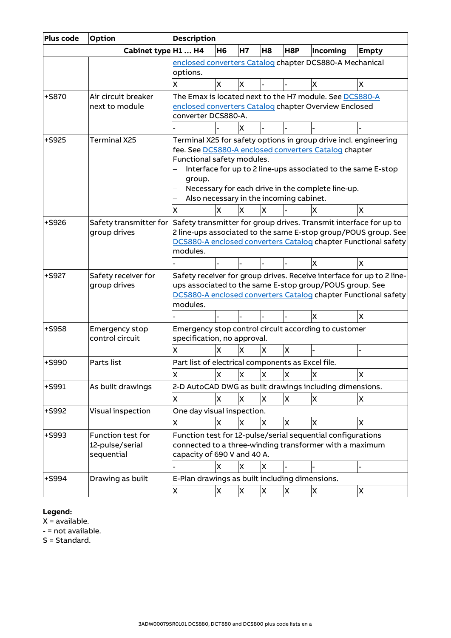| Plus code | Option                            | <b>Description</b>                                                                  |           |              |                |     |                                                                  |                                                                   |
|-----------|-----------------------------------|-------------------------------------------------------------------------------------|-----------|--------------|----------------|-----|------------------------------------------------------------------|-------------------------------------------------------------------|
|           | Cabinet type H1  H4               |                                                                                     | <b>H6</b> | <b>H7</b>    | H <sub>8</sub> | H8P | Incoming                                                         | <b>Empty</b>                                                      |
|           |                                   | enclosed converters Catalog chapter DCS880-A Mechanical                             |           |              |                |     |                                                                  |                                                                   |
|           |                                   | options.                                                                            |           |              |                |     |                                                                  |                                                                   |
|           |                                   | X                                                                                   | X         | X            |                |     | X                                                                | X                                                                 |
| $+$ S870  | Air circuit breaker               |                                                                                     |           |              |                |     | The Emax is located next to the H7 module. See DCS880-A          |                                                                   |
|           | next to module                    | enclosed converters Catalog chapter Overview Enclosed                               |           |              |                |     |                                                                  |                                                                   |
|           |                                   | converter DCS880-A.                                                                 |           |              |                |     |                                                                  |                                                                   |
|           |                                   |                                                                                     |           | x            |                |     |                                                                  |                                                                   |
| $+$ S925  | Terminal X25                      |                                                                                     |           |              |                |     | Terminal X25 for safety options in group drive incl. engineering |                                                                   |
|           |                                   |                                                                                     |           |              |                |     | fee. See DCS880-A enclosed converters Catalog chapter            |                                                                   |
|           |                                   | Functional safety modules.                                                          |           |              |                |     |                                                                  |                                                                   |
|           |                                   |                                                                                     |           |              |                |     | Interface for up to 2 line-ups associated to the same E-stop     |                                                                   |
|           |                                   | group.                                                                              |           |              |                |     |                                                                  |                                                                   |
|           |                                   |                                                                                     |           |              |                |     | Necessary for each drive in the complete line-up.                |                                                                   |
|           |                                   | Also necessary in the incoming cabinet.                                             |           |              |                |     |                                                                  |                                                                   |
|           |                                   | X                                                                                   | X         | X            | X              |     | X                                                                | X                                                                 |
| +S926     | Safety transmitter for            |                                                                                     |           |              |                |     |                                                                  | Safety transmitter for group drives. Transmit interface for up to |
|           | group drives                      | 2 line-ups associated to the same E-stop group/POUS group. See                      |           |              |                |     |                                                                  |                                                                   |
|           |                                   | DCS880-A enclosed converters Catalog chapter Functional safety                      |           |              |                |     |                                                                  |                                                                   |
|           |                                   | modules.                                                                            |           |              |                |     |                                                                  |                                                                   |
|           |                                   |                                                                                     |           |              |                |     | ΙX                                                               | x                                                                 |
| $+$ S927  | Safety receiver for               | Safety receiver for group drives. Receive interface for up to 2 line-               |           |              |                |     |                                                                  |                                                                   |
|           | group drives                      | ups associated to the same E-stop group/POUS group. See                             |           |              |                |     |                                                                  |                                                                   |
|           |                                   | DCS880-A enclosed converters Catalog chapter Functional safety<br>modules.          |           |              |                |     |                                                                  |                                                                   |
|           |                                   |                                                                                     |           |              |                |     | X                                                                | X                                                                 |
|           |                                   |                                                                                     |           |              |                |     |                                                                  |                                                                   |
| +S958     | Emergency stop<br>control circuit | Emergency stop control circuit according to customer<br>specification, no approval. |           |              |                |     |                                                                  |                                                                   |
|           |                                   |                                                                                     |           |              |                |     |                                                                  |                                                                   |
|           |                                   | X                                                                                   | χ         | X            | X              | X   |                                                                  |                                                                   |
| $+$ S990  | Parts list                        | Part list of electrical components as Excel file.                                   |           |              |                |     |                                                                  |                                                                   |
|           |                                   | X                                                                                   | X         | X            | X              | X   | X                                                                | X                                                                 |
| $+$ S991  | As built drawings                 |                                                                                     |           |              |                |     | 2-D AutoCAD DWG as built drawings including dimensions.          |                                                                   |
|           |                                   | X                                                                                   | X         | X            | X              | X.  | X                                                                | X.                                                                |
| +S992     | Visual inspection                 | One day visual inspection.                                                          |           |              |                |     |                                                                  |                                                                   |
|           |                                   | X                                                                                   | X         | <b>X</b>     | X              | X   | X                                                                | X                                                                 |
| +S993     | Function test for                 |                                                                                     |           |              |                |     | Function test for 12-pulse/serial sequential configurations      |                                                                   |
|           | 12-pulse/serial                   |                                                                                     |           |              |                |     | connected to a three-winding transformer with a maximum          |                                                                   |
|           | sequential                        | capacity of 690 V and 40 A.                                                         |           |              |                |     |                                                                  |                                                                   |
|           |                                   |                                                                                     | X         | X            | X              |     |                                                                  |                                                                   |
| +S994     | Drawing as built                  | E-Plan drawings as built including dimensions.                                      |           |              |                |     |                                                                  |                                                                   |
|           |                                   | X                                                                                   | X         | $\mathsf{x}$ | X              | X   | X                                                                | X.                                                                |
|           |                                   |                                                                                     |           |              |                |     |                                                                  |                                                                   |

### **Legend:**

 $X =$  available.

- = not available.

S = Standard.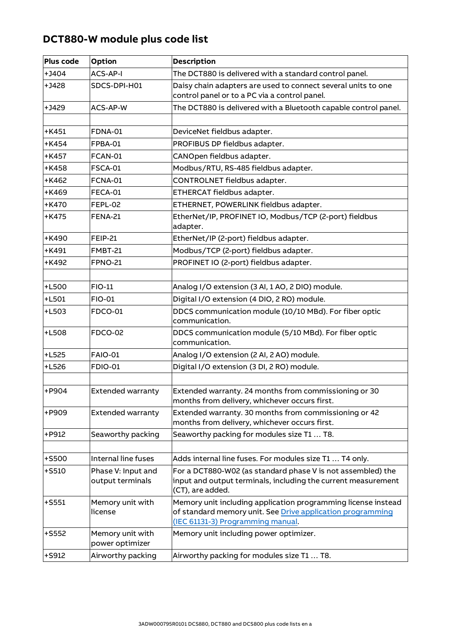## **DCT880-W module plus code list**

| <b>Plus code</b> | Option                                 | <b>Description</b>                                                                                                                                               |
|------------------|----------------------------------------|------------------------------------------------------------------------------------------------------------------------------------------------------------------|
| $+$ J404         | ACS-AP-I                               | The DCT880 is delivered with a standard control panel.                                                                                                           |
| $+J428$          | SDCS-DPI-H01                           | Daisy chain adapters are used to connect several units to one<br>control panel or to a PC via a control panel.                                                   |
| $+J429$          | <b>ACS-AP-W</b>                        | The DCT880 is delivered with a Bluetooth capable control panel.                                                                                                  |
|                  |                                        |                                                                                                                                                                  |
| $+K451$          | FDNA-01                                | DeviceNet fieldbus adapter.                                                                                                                                      |
| $+K454$          | FPBA-01                                | PROFIBUS DP fieldbus adapter.                                                                                                                                    |
| +K457            | FCAN-01                                | CANOpen fieldbus adapter.                                                                                                                                        |
| +K458            | <b>FSCA-01</b>                         | Modbus/RTU, RS-485 fieldbus adapter.                                                                                                                             |
| +K462            | FCNA-01                                | CONTROLNET fieldbus adapter.                                                                                                                                     |
| +K469            | FECA-01                                | ETHERCAT fieldbus adapter.                                                                                                                                       |
| +K470            | FEPL-02                                | ETHERNET, POWERLINK fieldbus adapter.                                                                                                                            |
| $+K475$          | <b>FENA-21</b>                         | EtherNet/IP, PROFINET IO, Modbus/TCP (2-port) fieldbus<br>adapter.                                                                                               |
| +K490            | <b>FEIP-21</b>                         | EtherNet/IP (2-port) fieldbus adapter.                                                                                                                           |
| $+$ K491         | <b>FMBT-21</b>                         | Modbus/TCP (2-port) fieldbus adapter.                                                                                                                            |
| +K492            | <b>FPNO-21</b>                         | PROFINET IO (2-port) fieldbus adapter.                                                                                                                           |
|                  |                                        |                                                                                                                                                                  |
| $+L500$          | <b>FIO-11</b>                          | Analog I/O extension (3 AI, 1 AO, 2 DIO) module.                                                                                                                 |
| $+L501$          | <b>FIO-01</b>                          | Digital I/O extension (4 DIO, 2 RO) module.                                                                                                                      |
| $+L503$          | <b>FDCO-01</b>                         | DDCS communication module (10/10 MBd). For fiber optic<br>communication.                                                                                         |
| $+L508$          | <b>FDCO-02</b>                         | DDCS communication module (5/10 MBd). For fiber optic<br>communication.                                                                                          |
| $+L525$          | <b>FAIO-01</b>                         | Analog I/O extension (2 AI, 2 AO) module.                                                                                                                        |
| $+L526$          | <b>FDIO-01</b>                         | Digital I/O extension (3 DI, 2 RO) module.                                                                                                                       |
|                  |                                        |                                                                                                                                                                  |
| +P904            | <b>Extended warranty</b>               | Extended warranty. 24 months from commissioning or 30<br>months from delivery, whichever occurs first.                                                           |
| +P909            | <b>Extended warranty</b>               | Extended warranty. 30 months from commissioning or 42<br>months from delivery, whichever occurs first.                                                           |
| +P912            | Seaworthy packing                      | Seaworthy packing for modules size T1  T8.                                                                                                                       |
|                  |                                        |                                                                                                                                                                  |
| +S500            | Internal line fuses                    | Adds internal line fuses. For modules size T1  T4 only.                                                                                                          |
| $+$ S510         | Phase V: Input and<br>output terminals | For a DCT880-W02 (as standard phase V is not assembled) the<br>input and output terminals, including the current measurement<br>(CT), are added.                 |
| $+$ S551         | Memory unit with<br>license            | Memory unit including application programming license instead<br>of standard memory unit. See Drive application programming<br>(IEC 61131-3) Programming manual. |
| $+$ S552         | Memory unit with<br>power optimizer    | Memory unit including power optimizer.                                                                                                                           |
| +S912            | Airworthy packing                      | Airworthy packing for modules size T1  T8.                                                                                                                       |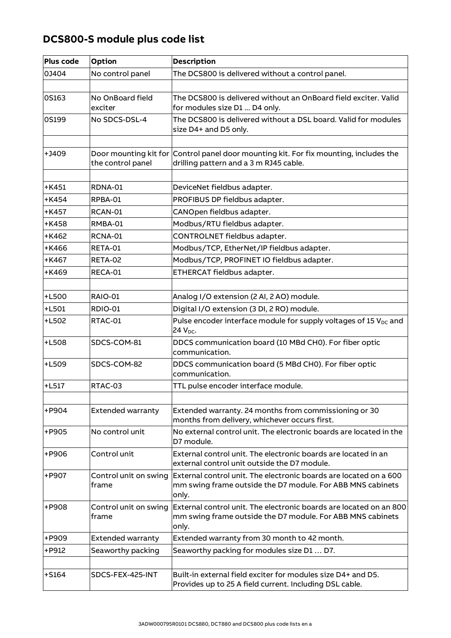## **DCS800-S module plus code list**

| <b>Plus code</b> | Option                         | <b>Description</b>                                                                                                                        |
|------------------|--------------------------------|-------------------------------------------------------------------------------------------------------------------------------------------|
| 0J404            | No control panel               | The DCS800 is delivered without a control panel.                                                                                          |
|                  |                                |                                                                                                                                           |
| 0S163            | No OnBoard field<br>exciter    | The DCS800 is delivered without an OnBoard field exciter. Valid<br>for modules size D1  D4 only.                                          |
| 0S199            | No SDCS-DSL-4                  | The DCS800 is delivered without a DSL board. Valid for modules<br>size D4+ and D5 only.                                                   |
|                  |                                |                                                                                                                                           |
| $+1409$          | the control panel              | Door mounting kit for Control panel door mounting kit. For fix mounting, includes the<br>drilling pattern and a 3 m RJ45 cable.           |
| $+K451$          | RDNA-01                        |                                                                                                                                           |
|                  |                                | DeviceNet fieldbus adapter.                                                                                                               |
| $+K454$          | RPBA-01                        | PROFIBUS DP fieldbus adapter.                                                                                                             |
| $+K457$          | RCAN-01                        | CANOpen fieldbus adapter.                                                                                                                 |
| +K458            | RMBA-01                        | Modbus/RTU fieldbus adapter.                                                                                                              |
| +K462            | RCNA-01                        | CONTROLNET fieldbus adapter.                                                                                                              |
| $+$ K466         | RETA-01                        | Modbus/TCP, EtherNet/IP fieldbus adapter.                                                                                                 |
| +K467            | RETA-02                        | Modbus/TCP, PROFINET IO fieldbus adapter.                                                                                                 |
| +K469            | RECA-01                        | ETHERCAT fieldbus adapter.                                                                                                                |
|                  |                                |                                                                                                                                           |
| $+L500$          | <b>RAIO-01</b>                 | Analog I/O extension (2 AI, 2 AO) module.                                                                                                 |
| $+L501$          | <b>RDIO-01</b>                 | Digital I/O extension (3 DI, 2 RO) module.                                                                                                |
| +L502            | RTAC-01                        | Pulse encoder interface module for supply voltages of 15 V <sub>DC</sub> and<br>24 V <sub>pc</sub> .                                      |
| +L508            | SDCS-COM-81                    | DDCS communication board (10 MBd CH0). For fiber optic<br>communication.                                                                  |
| +L509            | SDCS-COM-82                    | DDCS communication board (5 MBd CH0). For fiber optic<br>communication.                                                                   |
| $+$ L517         | RTAC-03                        | TTL pulse encoder interface module.                                                                                                       |
|                  |                                |                                                                                                                                           |
| +P904            | <b>Extended warranty</b>       | Extended warranty. 24 months from commissioning or 30<br>months from delivery, whichever occurs first.                                    |
| +P905            | No control unit                | No external control unit. The electronic boards are located in the<br>D7 module.                                                          |
| +P906            | Control unit                   | External control unit. The electronic boards are located in an<br>external control unit outside the D7 module.                            |
| +P907            | Control unit on swing<br>frame | External control unit. The electronic boards are located on a 600<br>mm swing frame outside the D7 module. For ABB MNS cabinets<br>only.  |
| +P908            | Control unit on swing<br>frame | External control unit. The electronic boards are located on an 800<br>mm swing frame outside the D7 module. For ABB MNS cabinets<br>only. |
| +P909            | <b>Extended warranty</b>       | Extended warranty from 30 month to 42 month.                                                                                              |
| +P912            | Seaworthy packing              | Seaworthy packing for modules size D1  D7.                                                                                                |
|                  |                                |                                                                                                                                           |
| $+5164$          | SDCS-FEX-425-INT               | Built-in external field exciter for modules size D4+ and D5.<br>Provides up to 25 A field current. Including DSL cable.                   |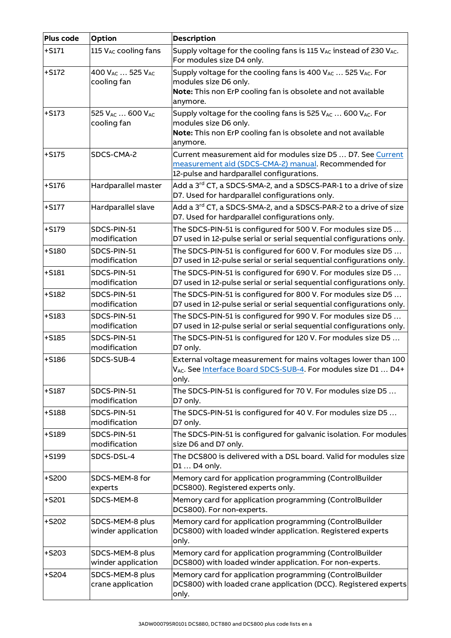| Plus code | Option                                                 | <b>Description</b>                                                                                                                                                          |
|-----------|--------------------------------------------------------|-----------------------------------------------------------------------------------------------------------------------------------------------------------------------------|
| $+5171$   | 115 VAC cooling fans                                   | Supply voltage for the cooling fans is 115 VAC instead of 230 VAC.<br>For modules size D4 only.                                                                             |
| $+5172$   | 400 V <sub>AC</sub> 525 V <sub>AC</sub><br>cooling fan | Supply voltage for the cooling fans is 400 VAC  525 VAC. For<br>modules size D6 only.<br>Note: This non ErP cooling fan is obsolete and not available<br>anymore.           |
| $+S173$   | 525 V <sub>AC</sub> 600 V <sub>AC</sub><br>cooling fan | Supply voltage for the cooling fans is 525 $V_{AC}$ 600 $V_{AC}$ . For<br>modules size D6 only.<br>Note: This non ErP cooling fan is obsolete and not available<br>anymore. |
| $+S175$   | SDCS-CMA-2                                             | Current measurement aid for modules size D5  D7. See Current<br>measurement aid (SDCS-CMA-2) manual. Recommended for<br>12-pulse and hardparallel configurations.           |
| $+5176$   | Hardparallel master                                    | Add a 3 <sup>rd</sup> CT, a SDCS-SMA-2, and a SDSCS-PAR-1 to a drive of size<br>D7. Used for hardparallel configurations only.                                              |
| $+S177$   | Hardparallel slave                                     | Add a 3 <sup>rd</sup> CT, a SDCS-SMA-2, and a SDSCS-PAR-2 to a drive of size<br>D7. Used for hardparallel configurations only.                                              |
| $+5179$   | SDCS-PIN-51<br>modification                            | The SDCS-PIN-51 is configured for 500 V. For modules size D5<br>D7 used in 12-pulse serial or serial sequential configurations only.                                        |
| $+$ S180  | SDCS-PIN-51<br>modification                            | The SDCS-PIN-51 is configured for 600 V. For modules size D5<br>D7 used in 12-pulse serial or serial sequential configurations only.                                        |
| $+$ S181  | SDCS-PIN-51<br>modification                            | The SDCS-PIN-51 is configured for 690 V. For modules size D5<br>D7 used in 12-pulse serial or serial sequential configurations only.                                        |
| $+$ S182  | SDCS-PIN-51<br>modification                            | The SDCS-PIN-51 is configured for 800 V. For modules size D5<br>D7 used in 12-pulse serial or serial sequential configurations only.                                        |
| $+5183$   | SDCS-PIN-51<br>modification                            | The SDCS-PIN-51 is configured for 990 V. For modules size D5<br>D7 used in 12-pulse serial or serial sequential configurations only.                                        |
| $+$ S185  | SDCS-PIN-51<br>modification                            | The SDCS-PIN-51 is configured for 120 V. For modules size D5<br>D7 only.                                                                                                    |
| $+5186$   | SDCS-SUB-4                                             | External voltage measurement for mains voltages lower than 100<br>VAC. See Interface Board SDCS-SUB-4. For modules size D1  D4+<br>only.                                    |
| $+$ S187  | SDCS-PIN-51<br>modification                            | The SDCS-PIN-51 is configured for 70 V. For modules size D5<br>D7 only.                                                                                                     |
| $+5188$   | SDCS-PIN-51<br>modification                            | The SDCS-PIN-51 is configured for 40 V. For modules size D5<br>D7 only.                                                                                                     |
| $+5189$   | SDCS-PIN-51<br>modification                            | The SDCS-PIN-51 is configured for galvanic isolation. For modules<br>size D6 and D7 only.                                                                                   |
| $+5199$   | SDCS-DSL-4                                             | The DCS800 is delivered with a DSL board. Valid for modules size<br>D1  D4 only.                                                                                            |
| $+$ S200  | SDCS-MEM-8 for<br>experts                              | Memory card for application programming (ControlBuilder<br>DCS800). Registered experts only.                                                                                |
| $+$ S201  | SDCS-MEM-8                                             | Memory card for application programming (ControlBuilder<br>DCS800). For non-experts.                                                                                        |
| $+$ S202  | SDCS-MEM-8 plus<br>winder application                  | Memory card for application programming (ControlBuilder<br>DCS800) with loaded winder application. Registered experts<br>only.                                              |
| $+$ S203  | SDCS-MEM-8 plus<br>winder application                  | Memory card for application programming (ControlBuilder<br>DCS800) with loaded winder application. For non-experts.                                                         |
| $+$ S204  | SDCS-MEM-8 plus<br>crane application                   | Memory card for application programming (ControlBuilder<br>DCS800) with loaded crane application (DCC). Registered experts<br>only.                                         |